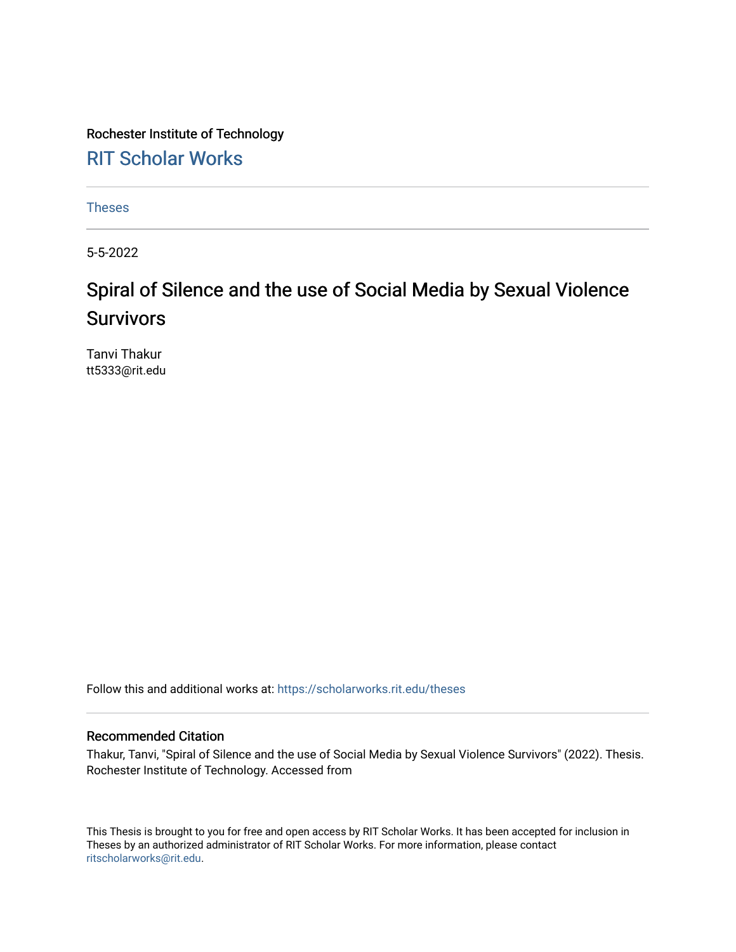Rochester Institute of Technology [RIT Scholar Works](https://scholarworks.rit.edu/)

[Theses](https://scholarworks.rit.edu/theses) 

5-5-2022

# Spiral of Silence and the use of Social Media by Sexual Violence Survivors

Tanvi Thakur tt5333@rit.edu

Follow this and additional works at: [https://scholarworks.rit.edu/theses](https://scholarworks.rit.edu/theses?utm_source=scholarworks.rit.edu%2Ftheses%2F11188&utm_medium=PDF&utm_campaign=PDFCoverPages) 

#### Recommended Citation

Thakur, Tanvi, "Spiral of Silence and the use of Social Media by Sexual Violence Survivors" (2022). Thesis. Rochester Institute of Technology. Accessed from

This Thesis is brought to you for free and open access by RIT Scholar Works. It has been accepted for inclusion in Theses by an authorized administrator of RIT Scholar Works. For more information, please contact [ritscholarworks@rit.edu](mailto:ritscholarworks@rit.edu).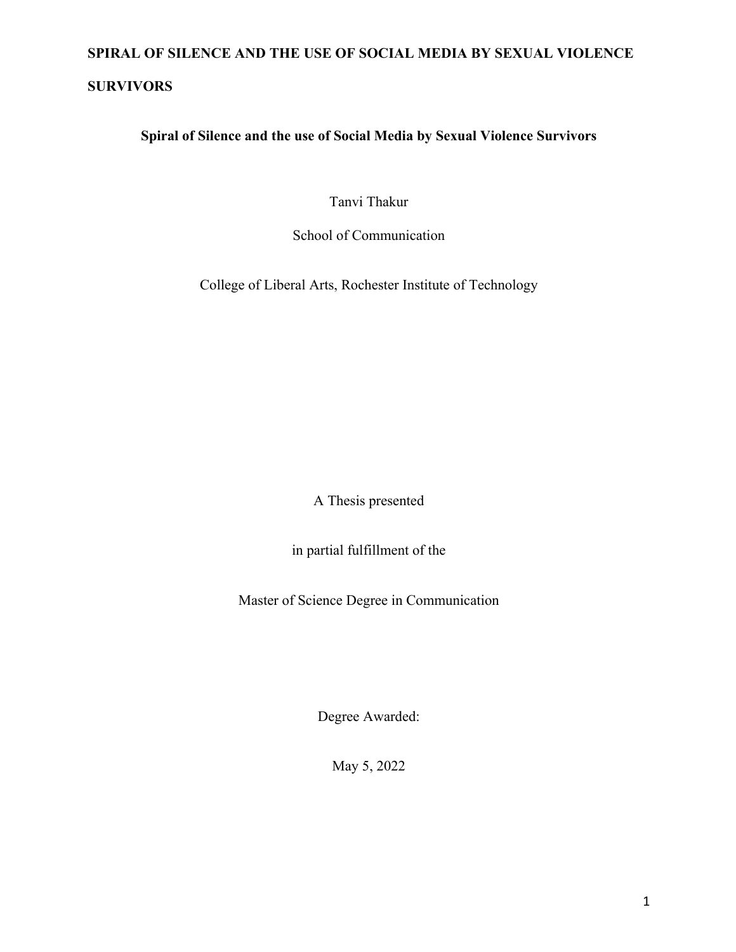### **SURVIVORS**

**Spiral of Silence and the use of Social Media by Sexual Violence Survivors**

Tanvi Thakur

School of Communication

College of Liberal Arts, Rochester Institute of Technology

A Thesis presented

in partial fulfillment of the

Master of Science Degree in Communication

Degree Awarded:

May 5, 2022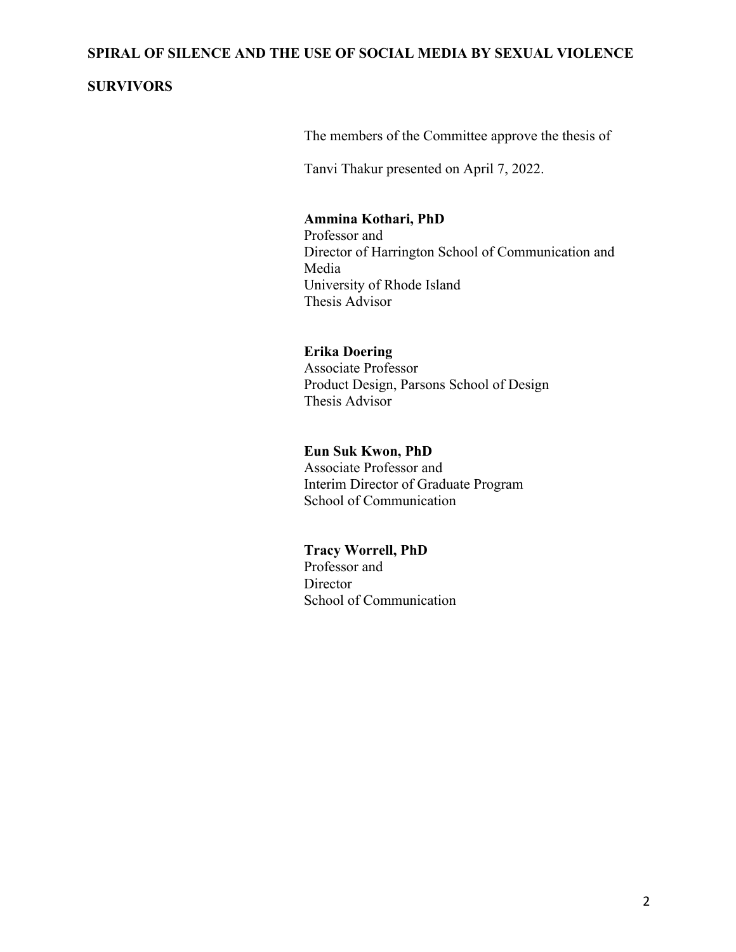### **SURVIVORS**

The members of the Committee approve the thesis of

Tanvi Thakur presented on April 7, 2022.

### **Ammina Kothari, PhD**

 Professor and Director of Harrington School of Communication and Media University of Rhode Island Thesis Advisor

### **Erika Doering**

 Associate Professor Product Design, Parsons School of Design Thesis Advisor

#### **Eun Suk Kwon, PhD**

 Associate Professor and Interim Director of Graduate Program School of Communication

### **Tracy Worrell, PhD**

Professor and **Director** School of Communication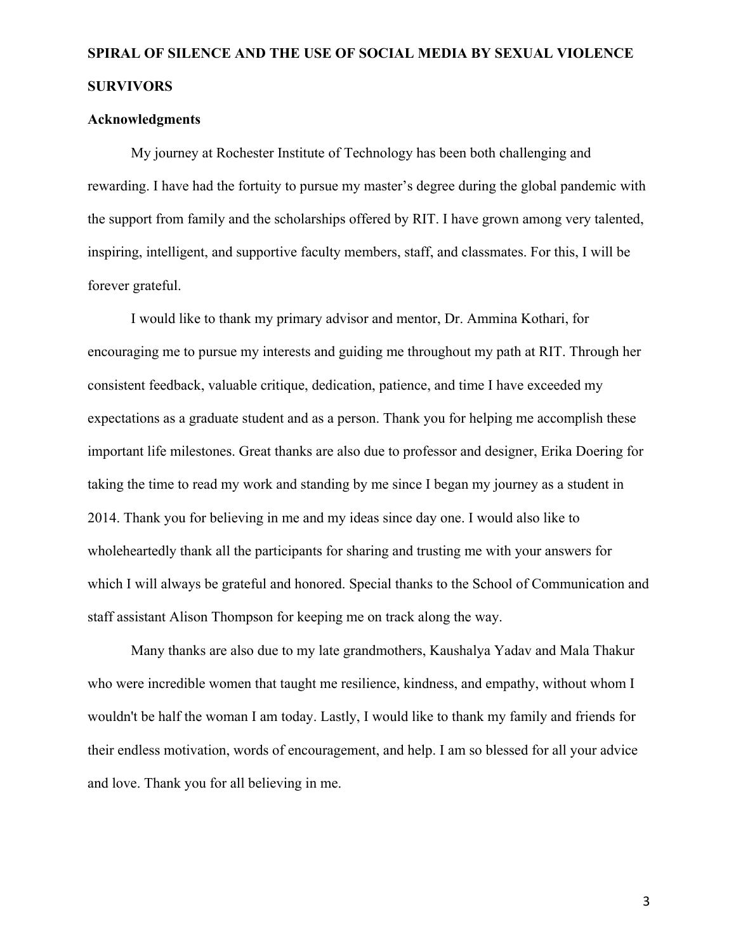### **Acknowledgments**

My journey at Rochester Institute of Technology has been both challenging and rewarding. I have had the fortuity to pursue my master's degree during the global pandemic with the support from family and the scholarships offered by RIT. I have grown among very talented, inspiring, intelligent, and supportive faculty members, staff, and classmates. For this, I will be forever grateful.

I would like to thank my primary advisor and mentor, Dr. Ammina Kothari, for encouraging me to pursue my interests and guiding me throughout my path at RIT. Through her consistent feedback, valuable critique, dedication, patience, and time I have exceeded my expectations as a graduate student and as a person. Thank you for helping me accomplish these important life milestones. Great thanks are also due to professor and designer, Erika Doering for taking the time to read my work and standing by me since I began my journey as a student in 2014. Thank you for believing in me and my ideas since day one. I would also like to wholeheartedly thank all the participants for sharing and trusting me with your answers for which I will always be grateful and honored. Special thanks to the School of Communication and staff assistant Alison Thompson for keeping me on track along the way.

Many thanks are also due to my late grandmothers, Kaushalya Yadav and Mala Thakur who were incredible women that taught me resilience, kindness, and empathy, without whom I wouldn't be half the woman I am today. Lastly, I would like to thank my family and friends for their endless motivation, words of encouragement, and help. I am so blessed for all your advice and love. Thank you for all believing in me.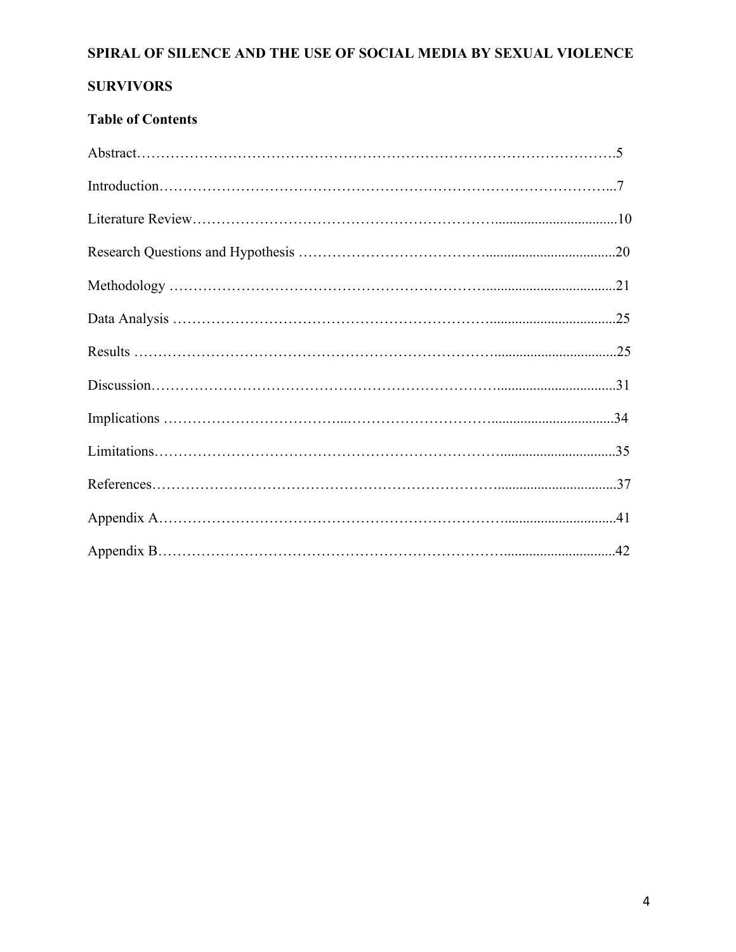## **SURVIVORS**

## **Table of Contents**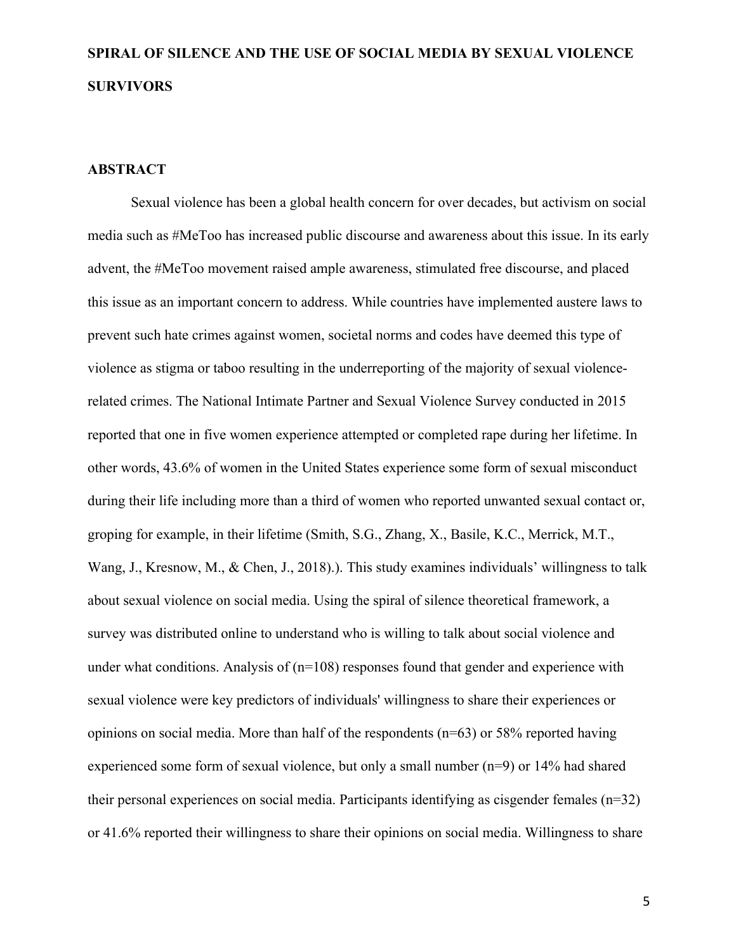#### **ABSTRACT**

Sexual violence has been a global health concern for over decades, but activism on social media such as #MeToo has increased public discourse and awareness about this issue. In its early advent, the #MeToo movement raised ample awareness, stimulated free discourse, and placed this issue as an important concern to address. While countries have implemented austere laws to prevent such hate crimes against women, societal norms and codes have deemed this type of violence as stigma or taboo resulting in the underreporting of the majority of sexual violencerelated crimes. The National Intimate Partner and Sexual Violence Survey conducted in 2015 reported that one in five women experience attempted or completed rape during her lifetime. In other words, 43.6% of women in the United States experience some form of sexual misconduct during their life including more than a third of women who reported unwanted sexual contact or, groping for example, in their lifetime (Smith, S.G., Zhang, X., Basile, K.C., Merrick, M.T., Wang, J., Kresnow, M., & Chen, J., 2018).). This study examines individuals' willingness to talk about sexual violence on social media. Using the spiral of silence theoretical framework, a survey was distributed online to understand who is willing to talk about social violence and under what conditions. Analysis of  $(n=108)$  responses found that gender and experience with sexual violence were key predictors of individuals' willingness to share their experiences or opinions on social media. More than half of the respondents (n=63) or 58% reported having experienced some form of sexual violence, but only a small number (n=9) or 14% had shared their personal experiences on social media. Participants identifying as cisgender females (n=32) or 41.6% reported their willingness to share their opinions on social media. Willingness to share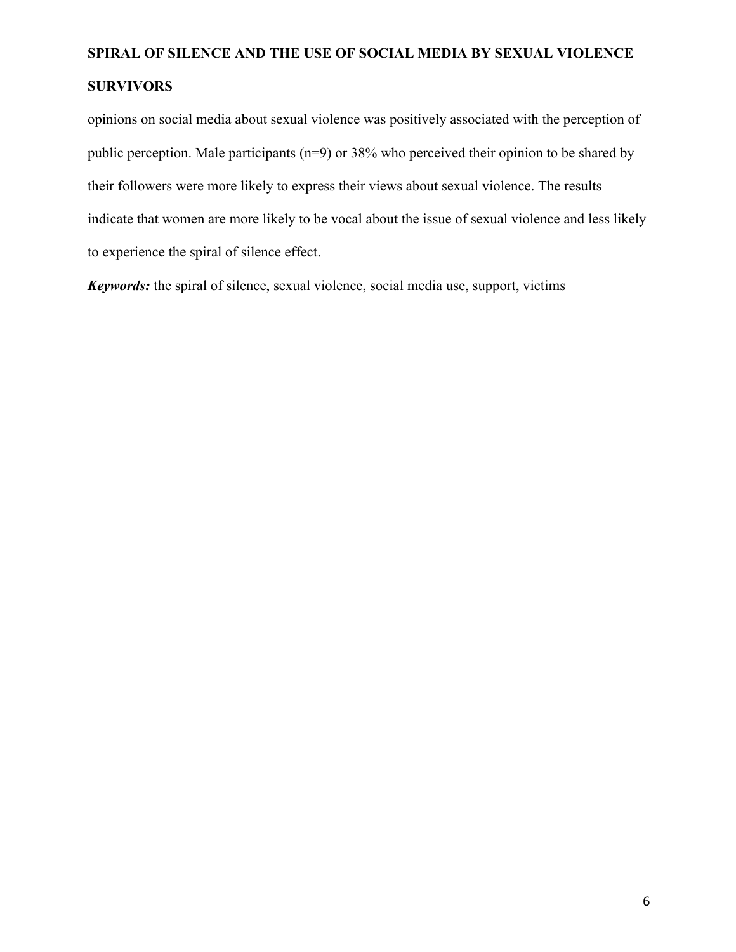opinions on social media about sexual violence was positively associated with the perception of public perception. Male participants (n=9) or 38% who perceived their opinion to be shared by their followers were more likely to express their views about sexual violence. The results indicate that women are more likely to be vocal about the issue of sexual violence and less likely to experience the spiral of silence effect.

*Keywords:* the spiral of silence, sexual violence, social media use, support, victims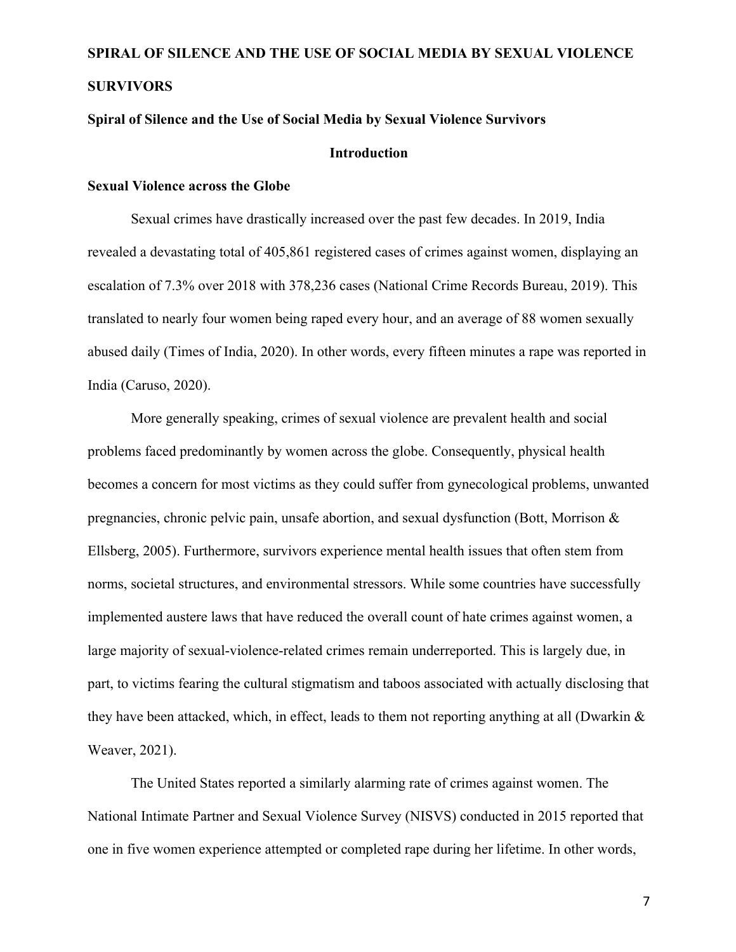### **Spiral of Silence and the Use of Social Media by Sexual Violence Survivors**

#### **Introduction**

#### **Sexual Violence across the Globe**

Sexual crimes have drastically increased over the past few decades. In 2019, India revealed a devastating total of 405,861 registered cases of crimes against women, displaying an escalation of 7.3% over 2018 with 378,236 cases (National Crime Records Bureau, 2019). This translated to nearly four women being raped every hour, and an average of 88 women sexually abused daily (Times of India, 2020). In other words, every fifteen minutes a rape was reported in India (Caruso, 2020).

More generally speaking, crimes of sexual violence are prevalent health and social problems faced predominantly by women across the globe. Consequently, physical health becomes a concern for most victims as they could suffer from gynecological problems, unwanted pregnancies, chronic pelvic pain, unsafe abortion, and sexual dysfunction (Bott, Morrison & Ellsberg, 2005). Furthermore, survivors experience mental health issues that often stem from norms, societal structures, and environmental stressors. While some countries have successfully implemented austere laws that have reduced the overall count of hate crimes against women, a large majority of sexual-violence-related crimes remain underreported. This is largely due, in part, to victims fearing the cultural stigmatism and taboos associated with actually disclosing that they have been attacked, which, in effect, leads to them not reporting anything at all (Dwarkin  $\&$ Weaver, 2021).

The United States reported a similarly alarming rate of crimes against women. The National Intimate Partner and Sexual Violence Survey (NISVS) conducted in 2015 reported that one in five women experience attempted or completed rape during her lifetime. In other words,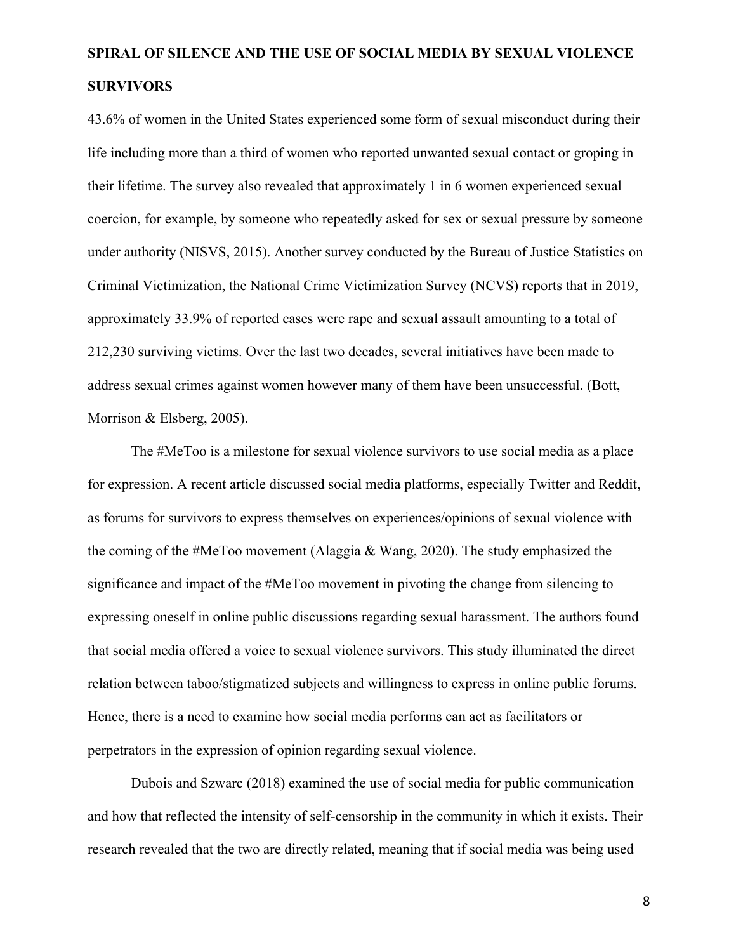43.6% of women in the United States experienced some form of sexual misconduct during their life including more than a third of women who reported unwanted sexual contact or groping in their lifetime. The survey also revealed that approximately 1 in 6 women experienced sexual coercion, for example, by someone who repeatedly asked for sex or sexual pressure by someone under authority (NISVS, 2015). Another survey conducted by the Bureau of Justice Statistics on Criminal Victimization, the National Crime Victimization Survey (NCVS) reports that in 2019, approximately 33.9% of reported cases were rape and sexual assault amounting to a total of 212,230 surviving victims. Over the last two decades, several initiatives have been made to address sexual crimes against women however many of them have been unsuccessful. (Bott, Morrison & Elsberg, 2005).

The #MeToo is a milestone for sexual violence survivors to use social media as a place for expression. A recent article discussed social media platforms, especially Twitter and Reddit, as forums for survivors to express themselves on experiences/opinions of sexual violence with the coming of the #MeToo movement (Alaggia & Wang, 2020). The study emphasized the significance and impact of the #MeToo movement in pivoting the change from silencing to expressing oneself in online public discussions regarding sexual harassment. The authors found that social media offered a voice to sexual violence survivors. This study illuminated the direct relation between taboo/stigmatized subjects and willingness to express in online public forums. Hence, there is a need to examine how social media performs can act as facilitators or perpetrators in the expression of opinion regarding sexual violence.

Dubois and Szwarc (2018) examined the use of social media for public communication and how that reflected the intensity of self-censorship in the community in which it exists. Their research revealed that the two are directly related, meaning that if social media was being used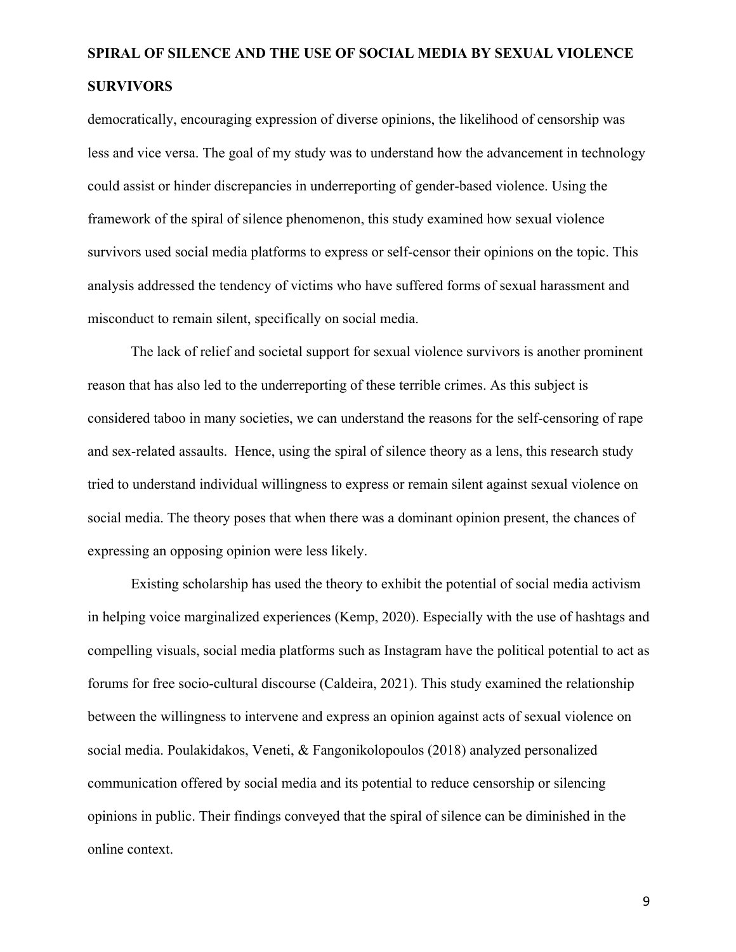democratically, encouraging expression of diverse opinions, the likelihood of censorship was less and vice versa. The goal of my study was to understand how the advancement in technology could assist or hinder discrepancies in underreporting of gender-based violence. Using the framework of the spiral of silence phenomenon, this study examined how sexual violence survivors used social media platforms to express or self-censor their opinions on the topic. This analysis addressed the tendency of victims who have suffered forms of sexual harassment and misconduct to remain silent, specifically on social media.

The lack of relief and societal support for sexual violence survivors is another prominent reason that has also led to the underreporting of these terrible crimes. As this subject is considered taboo in many societies, we can understand the reasons for the self-censoring of rape and sex-related assaults. Hence, using the spiral of silence theory as a lens, this research study tried to understand individual willingness to express or remain silent against sexual violence on social media. The theory poses that when there was a dominant opinion present, the chances of expressing an opposing opinion were less likely.

Existing scholarship has used the theory to exhibit the potential of social media activism in helping voice marginalized experiences (Kemp, 2020). Especially with the use of hashtags and compelling visuals, social media platforms such as Instagram have the political potential to act as forums for free socio-cultural discourse (Caldeira, 2021). This study examined the relationship between the willingness to intervene and express an opinion against acts of sexual violence on social media. Poulakidakos, Veneti, & Fangonikolopoulos (2018) analyzed personalized communication offered by social media and its potential to reduce censorship or silencing opinions in public. Their findings conveyed that the spiral of silence can be diminished in the online context.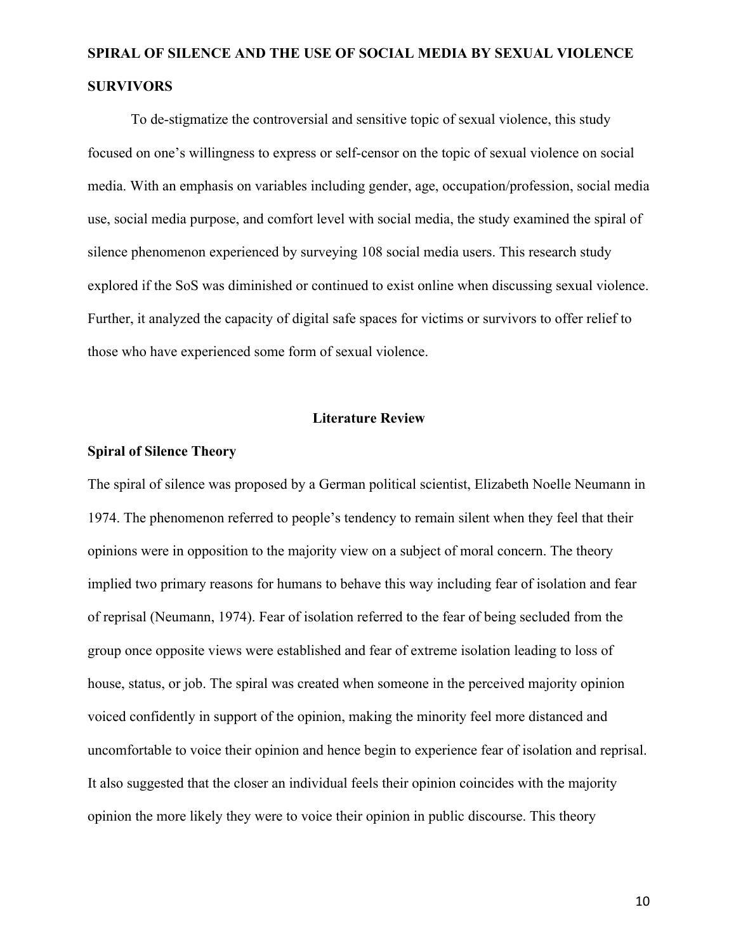To de-stigmatize the controversial and sensitive topic of sexual violence, this study focused on one's willingness to express or self-censor on the topic of sexual violence on social media. With an emphasis on variables including gender, age, occupation/profession, social media use, social media purpose, and comfort level with social media, the study examined the spiral of silence phenomenon experienced by surveying 108 social media users. This research study explored if the SoS was diminished or continued to exist online when discussing sexual violence. Further, it analyzed the capacity of digital safe spaces for victims or survivors to offer relief to those who have experienced some form of sexual violence.

### **Literature Review**

#### **Spiral of Silence Theory**

The spiral of silence was proposed by a German political scientist, Elizabeth Noelle Neumann in 1974. The phenomenon referred to people's tendency to remain silent when they feel that their opinions were in opposition to the majority view on a subject of moral concern. The theory implied two primary reasons for humans to behave this way including fear of isolation and fear of reprisal (Neumann, 1974). Fear of isolation referred to the fear of being secluded from the group once opposite views were established and fear of extreme isolation leading to loss of house, status, or job. The spiral was created when someone in the perceived majority opinion voiced confidently in support of the opinion, making the minority feel more distanced and uncomfortable to voice their opinion and hence begin to experience fear of isolation and reprisal. It also suggested that the closer an individual feels their opinion coincides with the majority opinion the more likely they were to voice their opinion in public discourse. This theory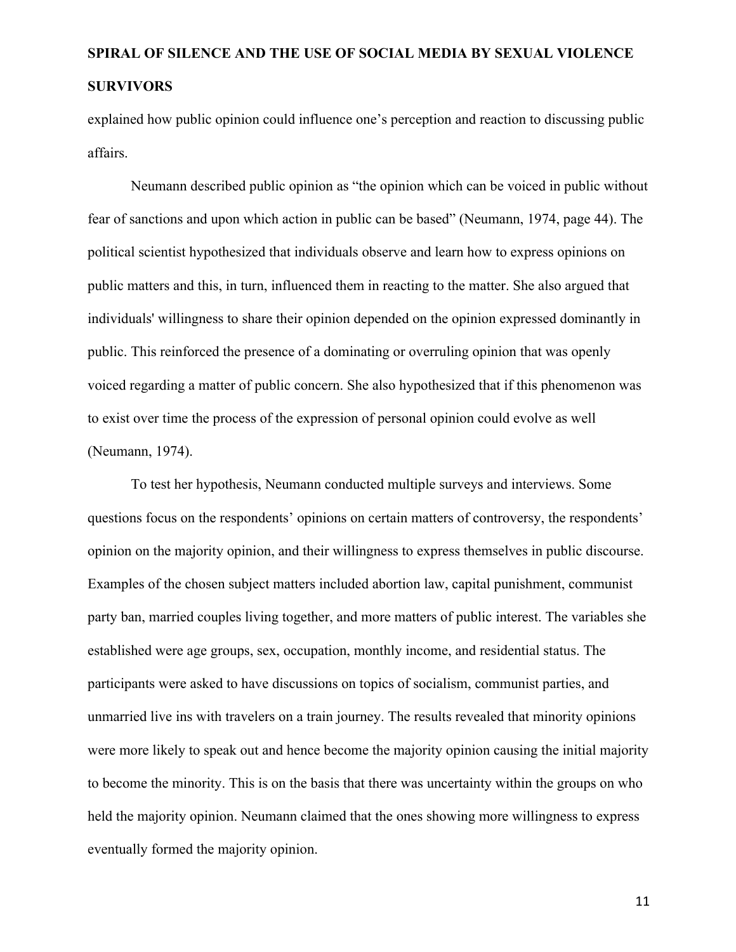explained how public opinion could influence one's perception and reaction to discussing public affairs.

Neumann described public opinion as "the opinion which can be voiced in public without fear of sanctions and upon which action in public can be based" (Neumann, 1974, page 44). The political scientist hypothesized that individuals observe and learn how to express opinions on public matters and this, in turn, influenced them in reacting to the matter. She also argued that individuals' willingness to share their opinion depended on the opinion expressed dominantly in public. This reinforced the presence of a dominating or overruling opinion that was openly voiced regarding a matter of public concern. She also hypothesized that if this phenomenon was to exist over time the process of the expression of personal opinion could evolve as well (Neumann, 1974).

To test her hypothesis, Neumann conducted multiple surveys and interviews. Some questions focus on the respondents' opinions on certain matters of controversy, the respondents' opinion on the majority opinion, and their willingness to express themselves in public discourse. Examples of the chosen subject matters included abortion law, capital punishment, communist party ban, married couples living together, and more matters of public interest. The variables she established were age groups, sex, occupation, monthly income, and residential status. The participants were asked to have discussions on topics of socialism, communist parties, and unmarried live ins with travelers on a train journey. The results revealed that minority opinions were more likely to speak out and hence become the majority opinion causing the initial majority to become the minority. This is on the basis that there was uncertainty within the groups on who held the majority opinion. Neumann claimed that the ones showing more willingness to express eventually formed the majority opinion.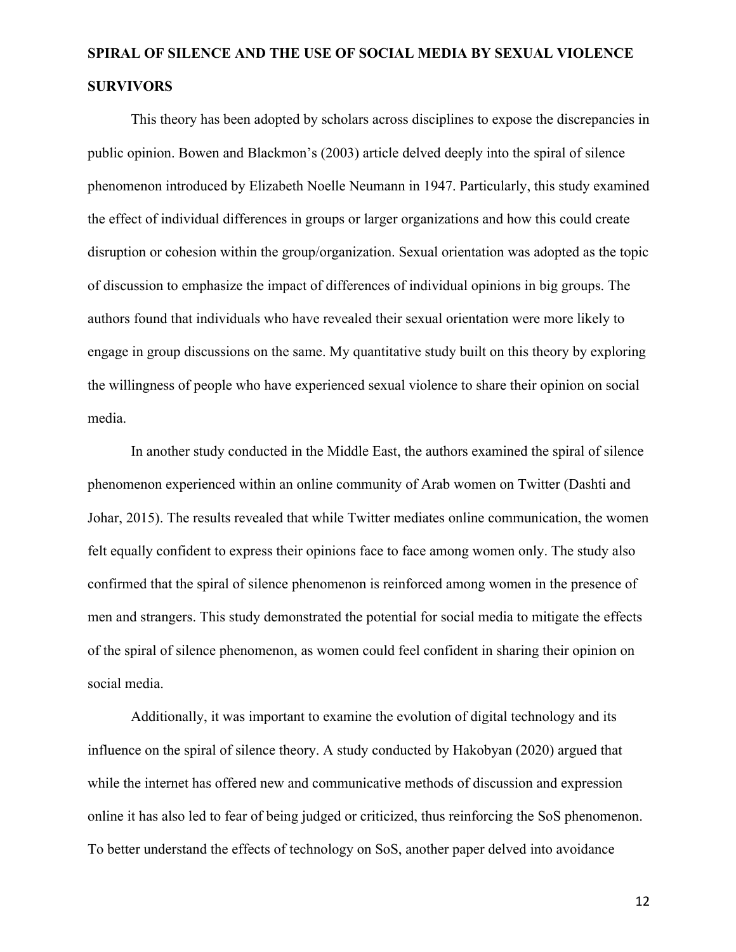This theory has been adopted by scholars across disciplines to expose the discrepancies in public opinion. Bowen and Blackmon's (2003) article delved deeply into the spiral of silence phenomenon introduced by Elizabeth Noelle Neumann in 1947. Particularly, this study examined the effect of individual differences in groups or larger organizations and how this could create disruption or cohesion within the group/organization. Sexual orientation was adopted as the topic of discussion to emphasize the impact of differences of individual opinions in big groups. The authors found that individuals who have revealed their sexual orientation were more likely to engage in group discussions on the same. My quantitative study built on this theory by exploring the willingness of people who have experienced sexual violence to share their opinion on social media.

In another study conducted in the Middle East, the authors examined the spiral of silence phenomenon experienced within an online community of Arab women on Twitter (Dashti and Johar, 2015). The results revealed that while Twitter mediates online communication, the women felt equally confident to express their opinions face to face among women only. The study also confirmed that the spiral of silence phenomenon is reinforced among women in the presence of men and strangers. This study demonstrated the potential for social media to mitigate the effects of the spiral of silence phenomenon, as women could feel confident in sharing their opinion on social media.

Additionally, it was important to examine the evolution of digital technology and its influence on the spiral of silence theory. A study conducted by Hakobyan (2020) argued that while the internet has offered new and communicative methods of discussion and expression online it has also led to fear of being judged or criticized, thus reinforcing the SoS phenomenon. To better understand the effects of technology on SoS, another paper delved into avoidance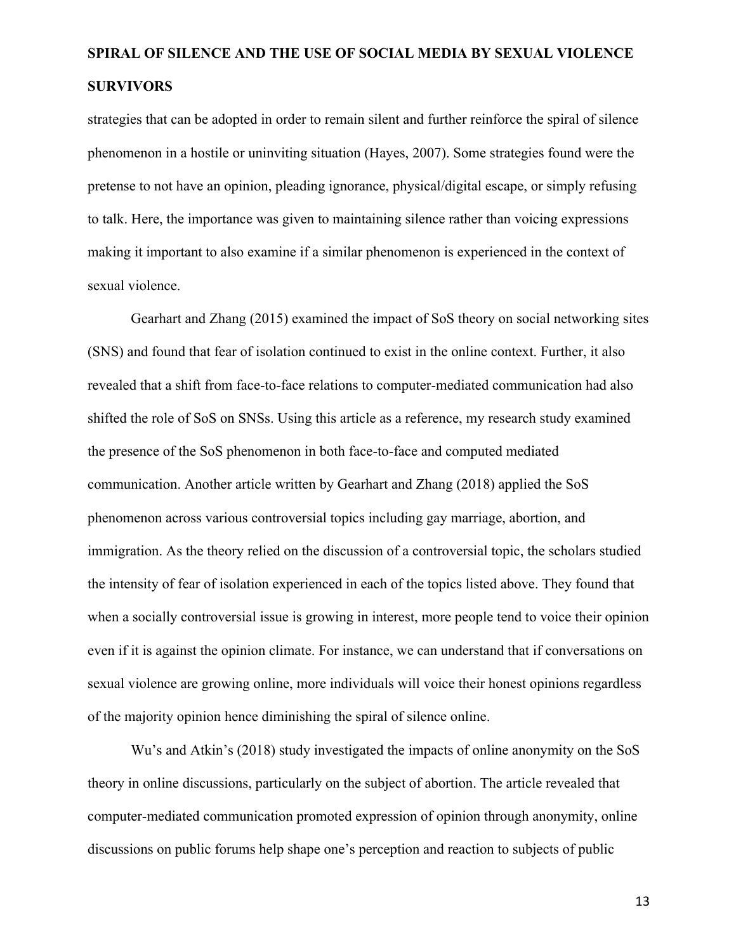strategies that can be adopted in order to remain silent and further reinforce the spiral of silence phenomenon in a hostile or uninviting situation (Hayes, 2007). Some strategies found were the pretense to not have an opinion, pleading ignorance, physical/digital escape, or simply refusing to talk. Here, the importance was given to maintaining silence rather than voicing expressions making it important to also examine if a similar phenomenon is experienced in the context of sexual violence.

Gearhart and Zhang (2015) examined the impact of SoS theory on social networking sites (SNS) and found that fear of isolation continued to exist in the online context. Further, it also revealed that a shift from face-to-face relations to computer-mediated communication had also shifted the role of SoS on SNSs. Using this article as a reference, my research study examined the presence of the SoS phenomenon in both face-to-face and computed mediated communication. Another article written by Gearhart and Zhang (2018) applied the SoS phenomenon across various controversial topics including gay marriage, abortion, and immigration. As the theory relied on the discussion of a controversial topic, the scholars studied the intensity of fear of isolation experienced in each of the topics listed above. They found that when a socially controversial issue is growing in interest, more people tend to voice their opinion even if it is against the opinion climate. For instance, we can understand that if conversations on sexual violence are growing online, more individuals will voice their honest opinions regardless of the majority opinion hence diminishing the spiral of silence online.

Wu's and Atkin's (2018) study investigated the impacts of online anonymity on the SoS theory in online discussions, particularly on the subject of abortion. The article revealed that computer-mediated communication promoted expression of opinion through anonymity, online discussions on public forums help shape one's perception and reaction to subjects of public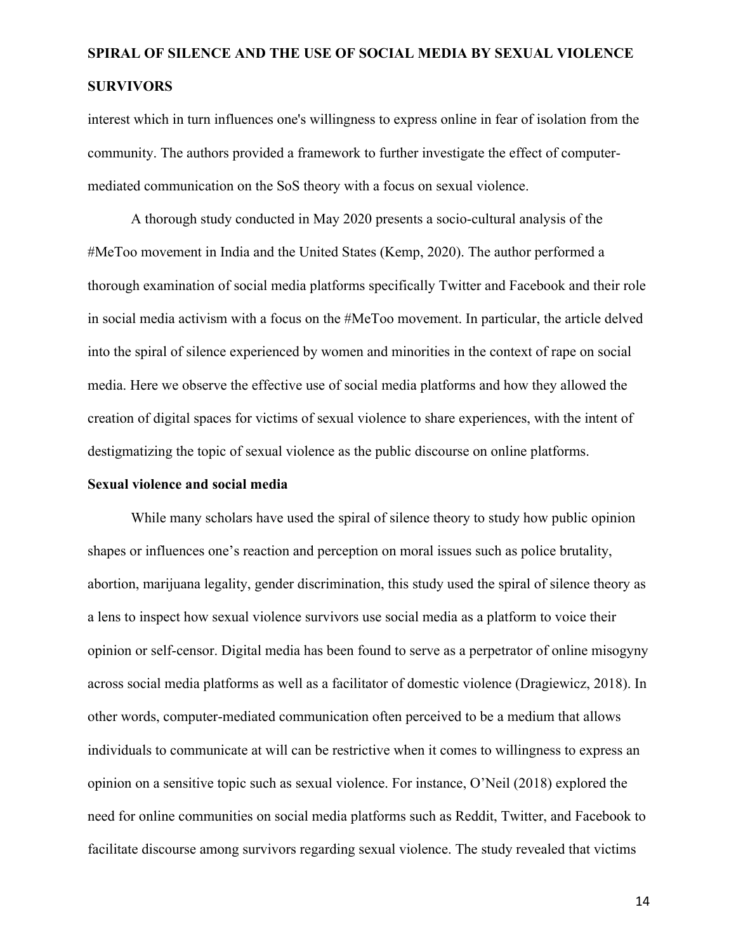interest which in turn influences one's willingness to express online in fear of isolation from the community. The authors provided a framework to further investigate the effect of computermediated communication on the SoS theory with a focus on sexual violence.

A thorough study conducted in May 2020 presents a socio-cultural analysis of the #MeToo movement in India and the United States (Kemp, 2020). The author performed a thorough examination of social media platforms specifically Twitter and Facebook and their role in social media activism with a focus on the #MeToo movement. In particular, the article delved into the spiral of silence experienced by women and minorities in the context of rape on social media. Here we observe the effective use of social media platforms and how they allowed the creation of digital spaces for victims of sexual violence to share experiences, with the intent of destigmatizing the topic of sexual violence as the public discourse on online platforms.

### **Sexual violence and social media**

While many scholars have used the spiral of silence theory to study how public opinion shapes or influences one's reaction and perception on moral issues such as police brutality, abortion, marijuana legality, gender discrimination, this study used the spiral of silence theory as a lens to inspect how sexual violence survivors use social media as a platform to voice their opinion or self-censor. Digital media has been found to serve as a perpetrator of online misogyny across social media platforms as well as a facilitator of domestic violence (Dragiewicz, 2018). In other words, computer-mediated communication often perceived to be a medium that allows individuals to communicate at will can be restrictive when it comes to willingness to express an opinion on a sensitive topic such as sexual violence. For instance, O'Neil (2018) explored the need for online communities on social media platforms such as Reddit, Twitter, and Facebook to facilitate discourse among survivors regarding sexual violence. The study revealed that victims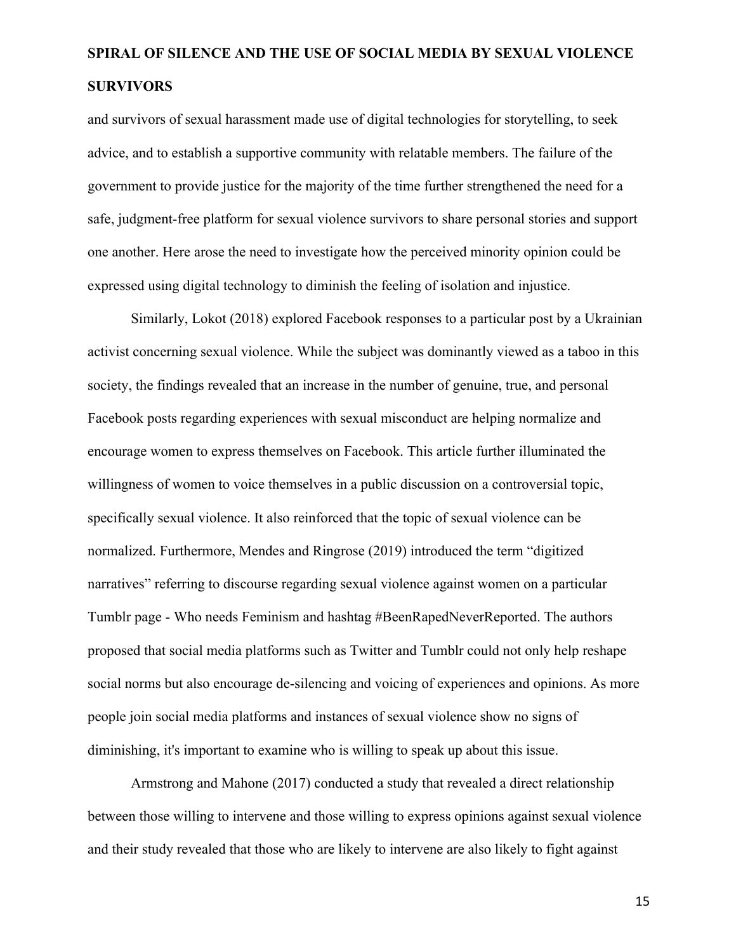and survivors of sexual harassment made use of digital technologies for storytelling, to seek advice, and to establish a supportive community with relatable members. The failure of the government to provide justice for the majority of the time further strengthened the need for a safe, judgment-free platform for sexual violence survivors to share personal stories and support one another. Here arose the need to investigate how the perceived minority opinion could be expressed using digital technology to diminish the feeling of isolation and injustice.

Similarly, Lokot (2018) explored Facebook responses to a particular post by a Ukrainian activist concerning sexual violence. While the subject was dominantly viewed as a taboo in this society, the findings revealed that an increase in the number of genuine, true, and personal Facebook posts regarding experiences with sexual misconduct are helping normalize and encourage women to express themselves on Facebook. This article further illuminated the willingness of women to voice themselves in a public discussion on a controversial topic, specifically sexual violence. It also reinforced that the topic of sexual violence can be normalized. Furthermore, Mendes and Ringrose (2019) introduced the term "digitized narratives" referring to discourse regarding sexual violence against women on a particular Tumblr page - Who needs Feminism and hashtag #BeenRapedNeverReported. The authors proposed that social media platforms such as Twitter and Tumblr could not only help reshape social norms but also encourage de-silencing and voicing of experiences and opinions. As more people join social media platforms and instances of sexual violence show no signs of diminishing, it's important to examine who is willing to speak up about this issue.

Armstrong and Mahone (2017) conducted a study that revealed a direct relationship between those willing to intervene and those willing to express opinions against sexual violence and their study revealed that those who are likely to intervene are also likely to fight against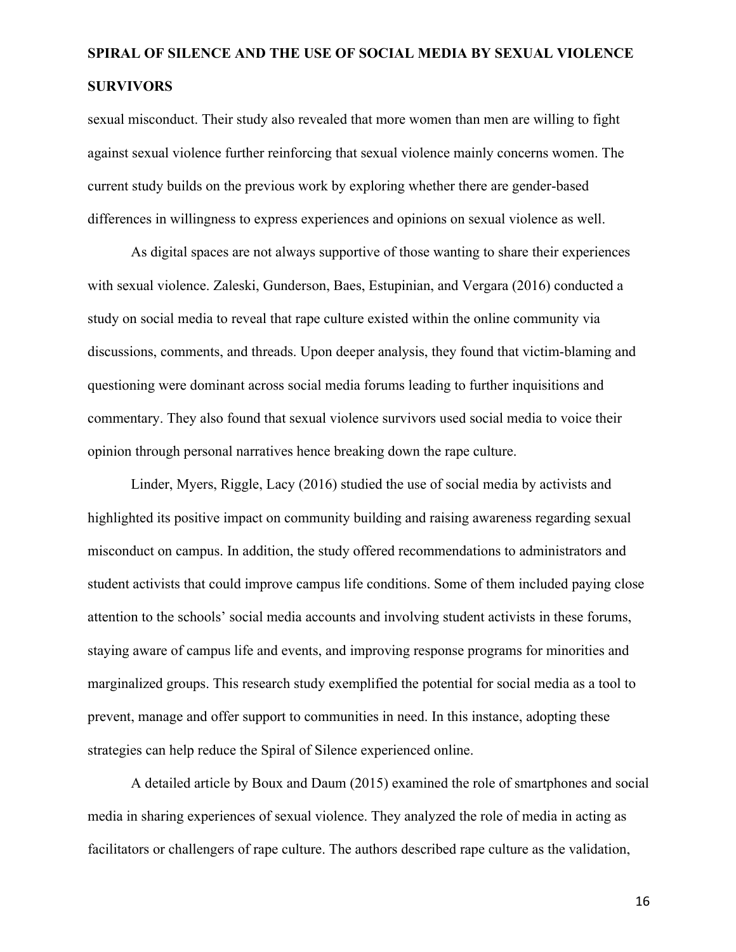sexual misconduct. Their study also revealed that more women than men are willing to fight against sexual violence further reinforcing that sexual violence mainly concerns women. The current study builds on the previous work by exploring whether there are gender-based differences in willingness to express experiences and opinions on sexual violence as well.

As digital spaces are not always supportive of those wanting to share their experiences with sexual violence. Zaleski, Gunderson, Baes, Estupinian, and Vergara (2016) conducted a study on social media to reveal that rape culture existed within the online community via discussions, comments, and threads. Upon deeper analysis, they found that victim-blaming and questioning were dominant across social media forums leading to further inquisitions and commentary. They also found that sexual violence survivors used social media to voice their opinion through personal narratives hence breaking down the rape culture.

Linder, Myers, Riggle, Lacy (2016) studied the use of social media by activists and highlighted its positive impact on community building and raising awareness regarding sexual misconduct on campus. In addition, the study offered recommendations to administrators and student activists that could improve campus life conditions. Some of them included paying close attention to the schools' social media accounts and involving student activists in these forums, staying aware of campus life and events, and improving response programs for minorities and marginalized groups. This research study exemplified the potential for social media as a tool to prevent, manage and offer support to communities in need. In this instance, adopting these strategies can help reduce the Spiral of Silence experienced online.

A detailed article by Boux and Daum (2015) examined the role of smartphones and social media in sharing experiences of sexual violence. They analyzed the role of media in acting as facilitators or challengers of rape culture. The authors described rape culture as the validation,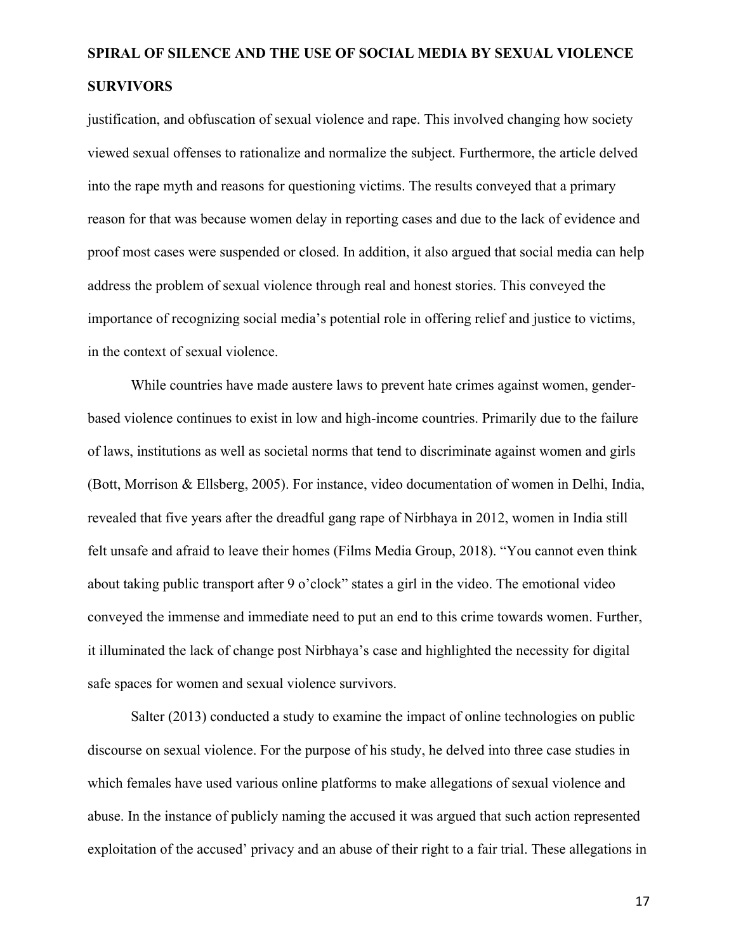justification, and obfuscation of sexual violence and rape. This involved changing how society viewed sexual offenses to rationalize and normalize the subject. Furthermore, the article delved into the rape myth and reasons for questioning victims. The results conveyed that a primary reason for that was because women delay in reporting cases and due to the lack of evidence and proof most cases were suspended or closed. In addition, it also argued that social media can help address the problem of sexual violence through real and honest stories. This conveyed the importance of recognizing social media's potential role in offering relief and justice to victims, in the context of sexual violence.

While countries have made austere laws to prevent hate crimes against women, genderbased violence continues to exist in low and high-income countries. Primarily due to the failure of laws, institutions as well as societal norms that tend to discriminate against women and girls (Bott, Morrison & Ellsberg, 2005). For instance, video documentation of women in Delhi, India, revealed that five years after the dreadful gang rape of Nirbhaya in 2012, women in India still felt unsafe and afraid to leave their homes (Films Media Group, 2018). "You cannot even think about taking public transport after 9 o'clock" states a girl in the video. The emotional video conveyed the immense and immediate need to put an end to this crime towards women. Further, it illuminated the lack of change post Nirbhaya's case and highlighted the necessity for digital safe spaces for women and sexual violence survivors.

Salter (2013) conducted a study to examine the impact of online technologies on public discourse on sexual violence. For the purpose of his study, he delved into three case studies in which females have used various online platforms to make allegations of sexual violence and abuse. In the instance of publicly naming the accused it was argued that such action represented exploitation of the accused' privacy and an abuse of their right to a fair trial. These allegations in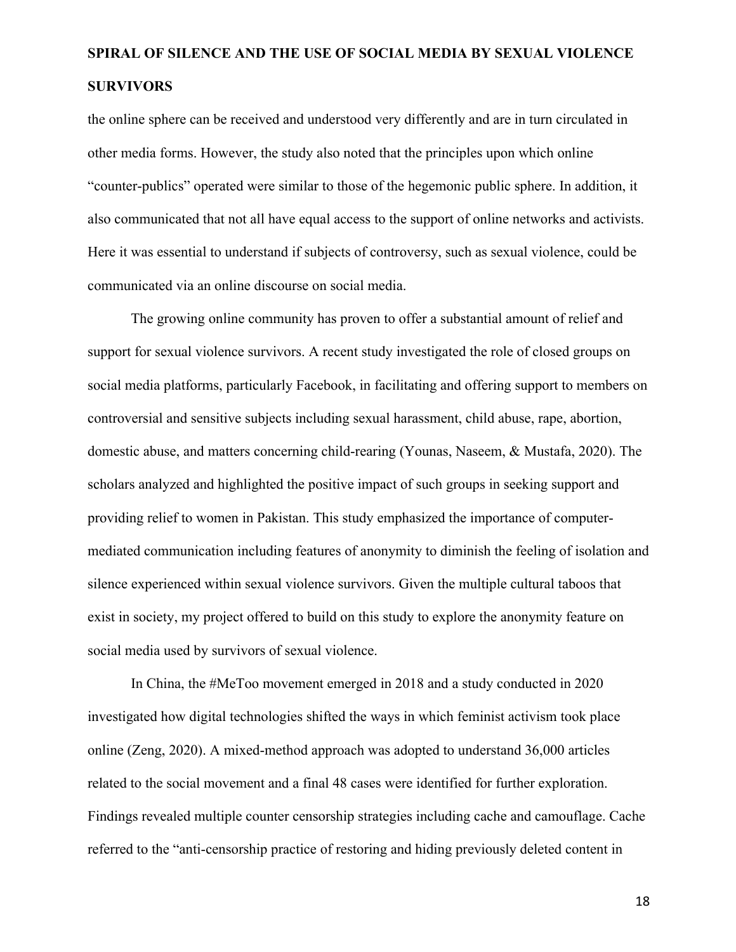the online sphere can be received and understood very differently and are in turn circulated in other media forms. However, the study also noted that the principles upon which online "counter-publics" operated were similar to those of the hegemonic public sphere. In addition, it also communicated that not all have equal access to the support of online networks and activists. Here it was essential to understand if subjects of controversy, such as sexual violence, could be communicated via an online discourse on social media.

The growing online community has proven to offer a substantial amount of relief and support for sexual violence survivors. A recent study investigated the role of closed groups on social media platforms, particularly Facebook, in facilitating and offering support to members on controversial and sensitive subjects including sexual harassment, child abuse, rape, abortion, domestic abuse, and matters concerning child-rearing (Younas, Naseem, & Mustafa, 2020). The scholars analyzed and highlighted the positive impact of such groups in seeking support and providing relief to women in Pakistan. This study emphasized the importance of computermediated communication including features of anonymity to diminish the feeling of isolation and silence experienced within sexual violence survivors. Given the multiple cultural taboos that exist in society, my project offered to build on this study to explore the anonymity feature on social media used by survivors of sexual violence.

In China, the #MeToo movement emerged in 2018 and a study conducted in 2020 investigated how digital technologies shifted the ways in which feminist activism took place online (Zeng, 2020). A mixed-method approach was adopted to understand 36,000 articles related to the social movement and a final 48 cases were identified for further exploration. Findings revealed multiple counter censorship strategies including cache and camouflage. Cache referred to the "anti-censorship practice of restoring and hiding previously deleted content in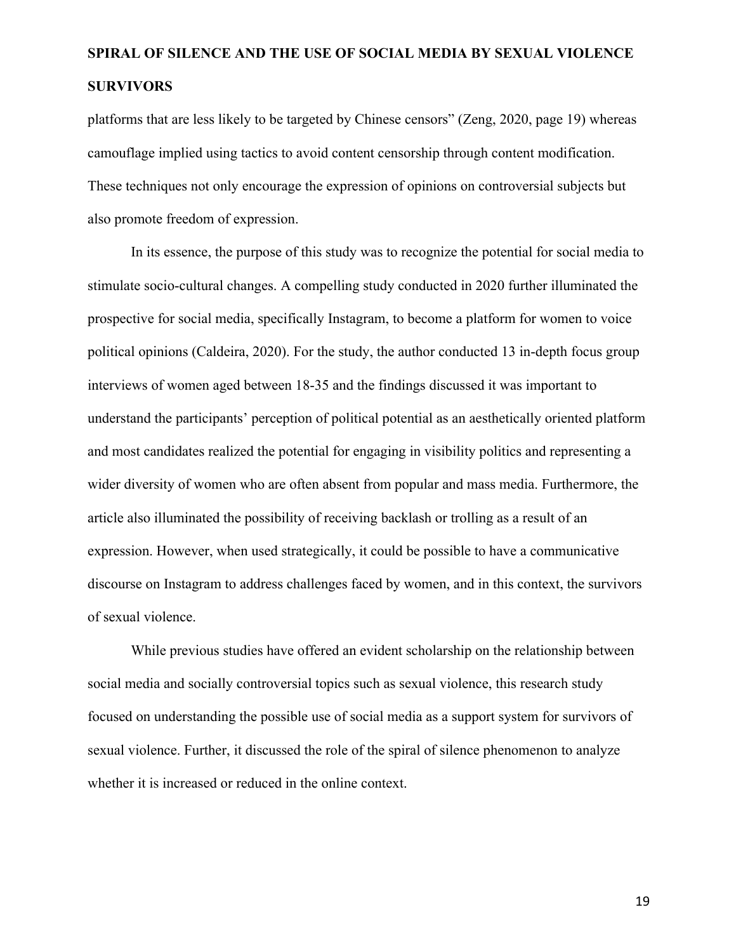platforms that are less likely to be targeted by Chinese censors" (Zeng, 2020, page 19) whereas camouflage implied using tactics to avoid content censorship through content modification. These techniques not only encourage the expression of opinions on controversial subjects but also promote freedom of expression.

In its essence, the purpose of this study was to recognize the potential for social media to stimulate socio-cultural changes. A compelling study conducted in 2020 further illuminated the prospective for social media, specifically Instagram, to become a platform for women to voice political opinions (Caldeira, 2020). For the study, the author conducted 13 in-depth focus group interviews of women aged between 18-35 and the findings discussed it was important to understand the participants' perception of political potential as an aesthetically oriented platform and most candidates realized the potential for engaging in visibility politics and representing a wider diversity of women who are often absent from popular and mass media. Furthermore, the article also illuminated the possibility of receiving backlash or trolling as a result of an expression. However, when used strategically, it could be possible to have a communicative discourse on Instagram to address challenges faced by women, and in this context, the survivors of sexual violence.

While previous studies have offered an evident scholarship on the relationship between social media and socially controversial topics such as sexual violence, this research study focused on understanding the possible use of social media as a support system for survivors of sexual violence. Further, it discussed the role of the spiral of silence phenomenon to analyze whether it is increased or reduced in the online context.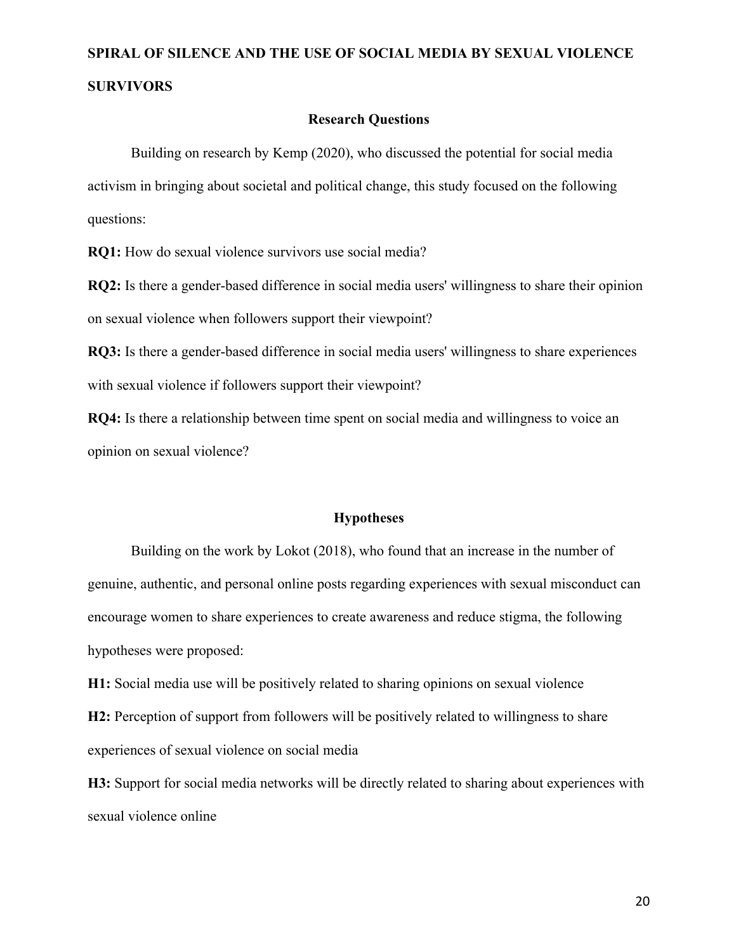### **Research Questions**

Building on research by Kemp (2020), who discussed the potential for social media activism in bringing about societal and political change, this study focused on the following questions:

**RQ1:** How do sexual violence survivors use social media?

**RQ2:** Is there a gender-based difference in social media users' willingness to share their opinion on sexual violence when followers support their viewpoint?

**RQ3:** Is there a gender-based difference in social media users' willingness to share experiences with sexual violence if followers support their viewpoint?

**RQ4:** Is there a relationship between time spent on social media and willingness to voice an opinion on sexual violence?

#### **Hypotheses**

Building on the work by Lokot (2018), who found that an increase in the number of genuine, authentic, and personal online posts regarding experiences with sexual misconduct can encourage women to share experiences to create awareness and reduce stigma, the following hypotheses were proposed:

**H1:** Social media use will be positively related to sharing opinions on sexual violence

**H2:** Perception of support from followers will be positively related to willingness to share experiences of sexual violence on social media

**H3:** Support for social media networks will be directly related to sharing about experiences with sexual violence online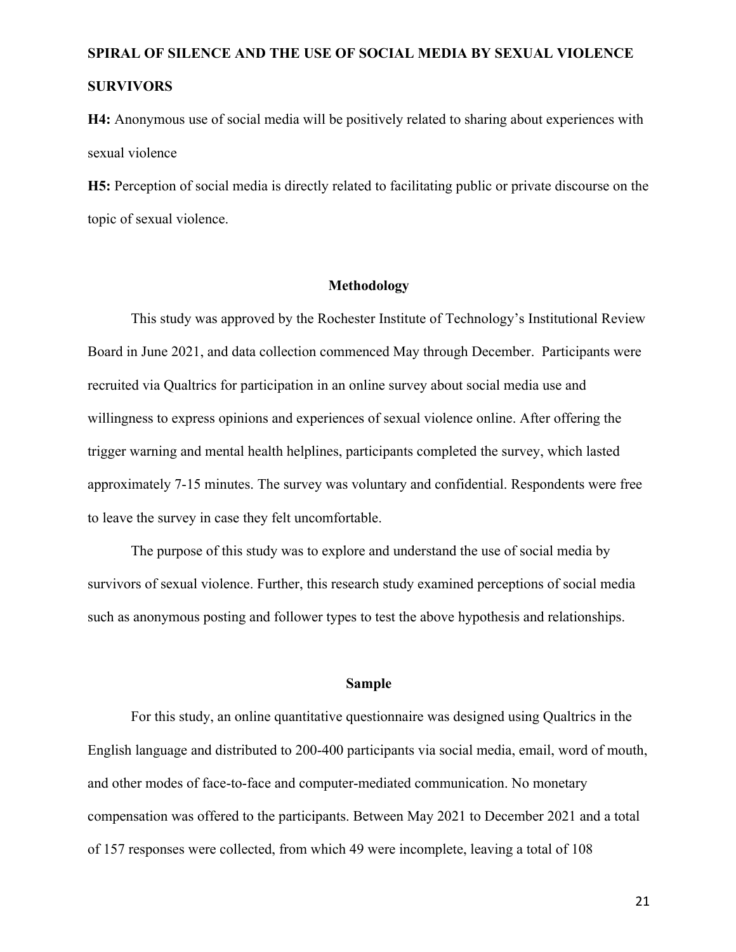**H4:** Anonymous use of social media will be positively related to sharing about experiences with sexual violence

**H5:** Perception of social media is directly related to facilitating public or private discourse on the topic of sexual violence.

### **Methodology**

This study was approved by the Rochester Institute of Technology's Institutional Review Board in June 2021, and data collection commenced May through December. Participants were recruited via Qualtrics for participation in an online survey about social media use and willingness to express opinions and experiences of sexual violence online. After offering the trigger warning and mental health helplines, participants completed the survey, which lasted approximately 7-15 minutes. The survey was voluntary and confidential. Respondents were free to leave the survey in case they felt uncomfortable.

The purpose of this study was to explore and understand the use of social media by survivors of sexual violence. Further, this research study examined perceptions of social media such as anonymous posting and follower types to test the above hypothesis and relationships.

#### **Sample**

For this study, an online quantitative questionnaire was designed using Qualtrics in the English language and distributed to 200-400 participants via social media, email, word of mouth, and other modes of face-to-face and computer-mediated communication. No monetary compensation was offered to the participants. Between May 2021 to December 2021 and a total of 157 responses were collected, from which 49 were incomplete, leaving a total of 108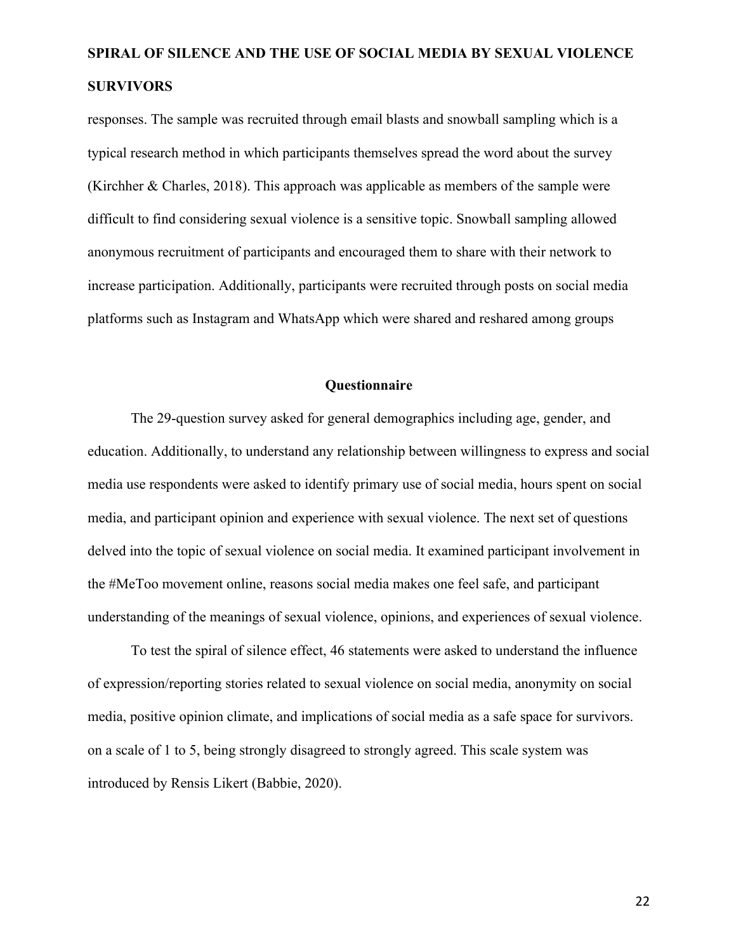responses. The sample was recruited through email blasts and snowball sampling which is a typical research method in which participants themselves spread the word about the survey (Kirchher & Charles, 2018). This approach was applicable as members of the sample were difficult to find considering sexual violence is a sensitive topic. Snowball sampling allowed anonymous recruitment of participants and encouraged them to share with their network to increase participation. Additionally, participants were recruited through posts on social media platforms such as Instagram and WhatsApp which were shared and reshared among groups

### **Questionnaire**

The 29-question survey asked for general demographics including age, gender, and education. Additionally, to understand any relationship between willingness to express and social media use respondents were asked to identify primary use of social media, hours spent on social media, and participant opinion and experience with sexual violence. The next set of questions delved into the topic of sexual violence on social media. It examined participant involvement in the #MeToo movement online, reasons social media makes one feel safe, and participant understanding of the meanings of sexual violence, opinions, and experiences of sexual violence.

To test the spiral of silence effect, 46 statements were asked to understand the influence of expression/reporting stories related to sexual violence on social media, anonymity on social media, positive opinion climate, and implications of social media as a safe space for survivors. on a scale of 1 to 5, being strongly disagreed to strongly agreed. This scale system was introduced by Rensis Likert (Babbie, 2020).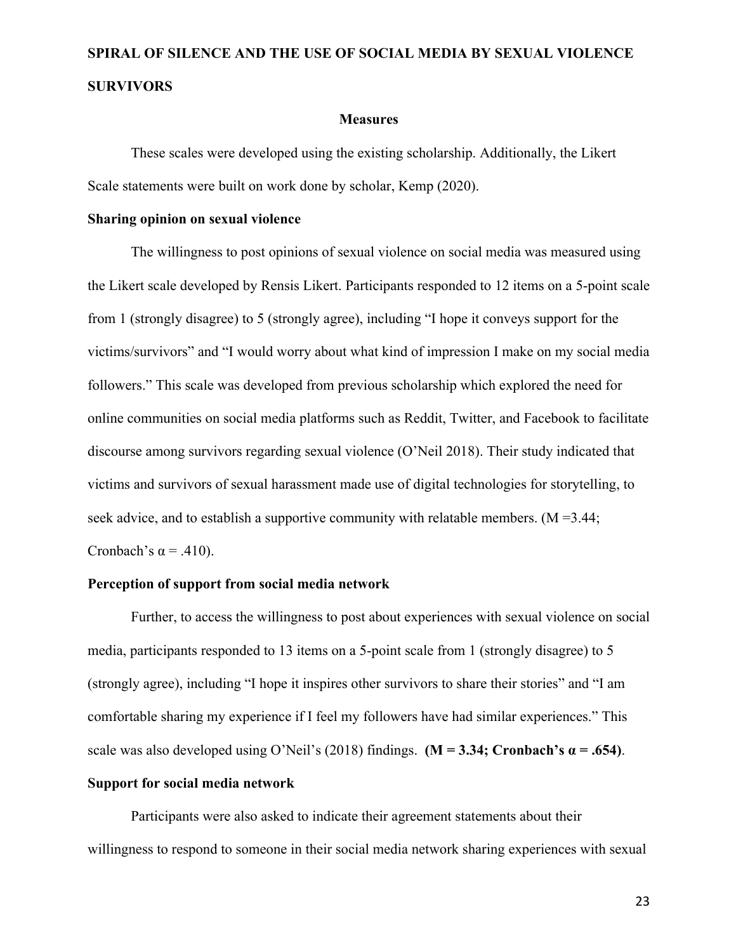#### **Measures**

These scales were developed using the existing scholarship. Additionally, the Likert Scale statements were built on work done by scholar, Kemp (2020).

#### **Sharing opinion on sexual violence**

The willingness to post opinions of sexual violence on social media was measured using the Likert scale developed by Rensis Likert. Participants responded to 12 items on a 5-point scale from 1 (strongly disagree) to 5 (strongly agree), including "I hope it conveys support for the victims/survivors" and "I would worry about what kind of impression I make on my social media followers." This scale was developed from previous scholarship which explored the need for online communities on social media platforms such as Reddit, Twitter, and Facebook to facilitate discourse among survivors regarding sexual violence (O'Neil 2018). Their study indicated that victims and survivors of sexual harassment made use of digital technologies for storytelling, to seek advice, and to establish a supportive community with relatable members.  $(M = 3.44$ ; Cronbach's  $\alpha$  = .410).

### **Perception of support from social media network**

Further, to access the willingness to post about experiences with sexual violence on social media, participants responded to 13 items on a 5-point scale from 1 (strongly disagree) to 5 (strongly agree), including "I hope it inspires other survivors to share their stories" and "I am comfortable sharing my experience if I feel my followers have had similar experiences." This scale was also developed using O'Neil's (2018) findings. **(M = 3.34; Cronbach's**  $\alpha$  **= .654)**.

### **Support for social media network**

Participants were also asked to indicate their agreement statements about their willingness to respond to someone in their social media network sharing experiences with sexual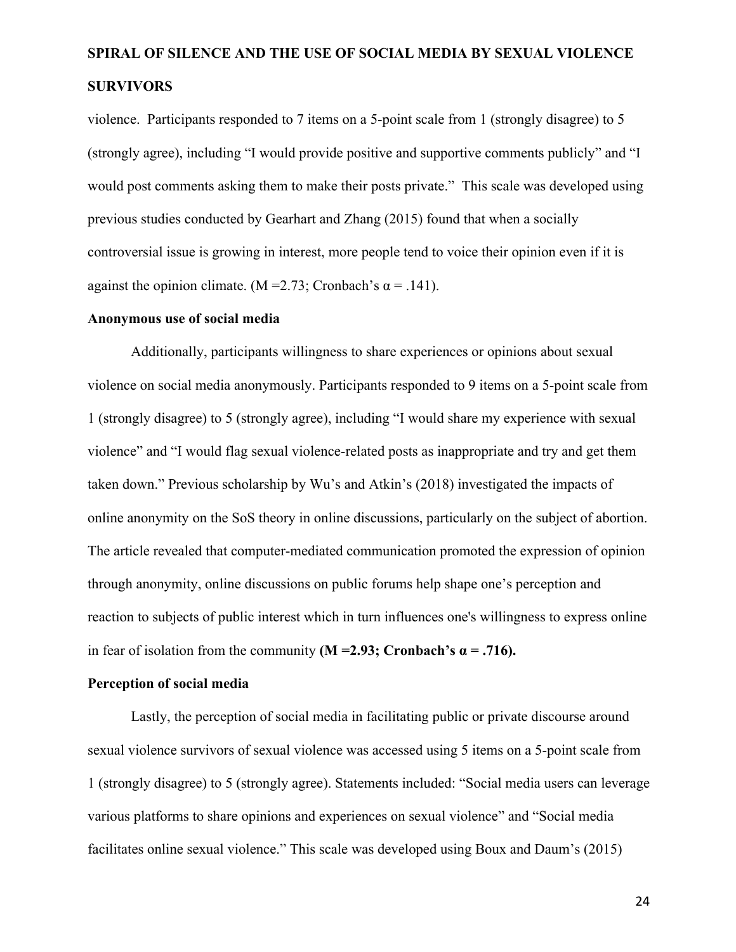violence. Participants responded to 7 items on a 5-point scale from 1 (strongly disagree) to 5 (strongly agree), including "I would provide positive and supportive comments publicly" and "I would post comments asking them to make their posts private." This scale was developed using previous studies conducted by Gearhart and Zhang (2015) found that when a socially controversial issue is growing in interest, more people tend to voice their opinion even if it is against the opinion climate. (M = 2.73; Cronbach's  $\alpha$  = .141).

#### **Anonymous use of social media**

Additionally, participants willingness to share experiences or opinions about sexual violence on social media anonymously. Participants responded to 9 items on a 5-point scale from 1 (strongly disagree) to 5 (strongly agree), including "I would share my experience with sexual violence" and "I would flag sexual violence-related posts as inappropriate and try and get them taken down." Previous scholarship by Wu's and Atkin's (2018) investigated the impacts of online anonymity on the SoS theory in online discussions, particularly on the subject of abortion. The article revealed that computer-mediated communication promoted the expression of opinion through anonymity, online discussions on public forums help shape one's perception and reaction to subjects of public interest which in turn influences one's willingness to express online in fear of isolation from the community  $(M = 2.93; Cronbach's \alpha = .716)$ .

### **Perception of social media**

Lastly, the perception of social media in facilitating public or private discourse around sexual violence survivors of sexual violence was accessed using 5 items on a 5-point scale from 1 (strongly disagree) to 5 (strongly agree). Statements included: "Social media users can leverage various platforms to share opinions and experiences on sexual violence" and "Social media facilitates online sexual violence." This scale was developed using Boux and Daum's (2015)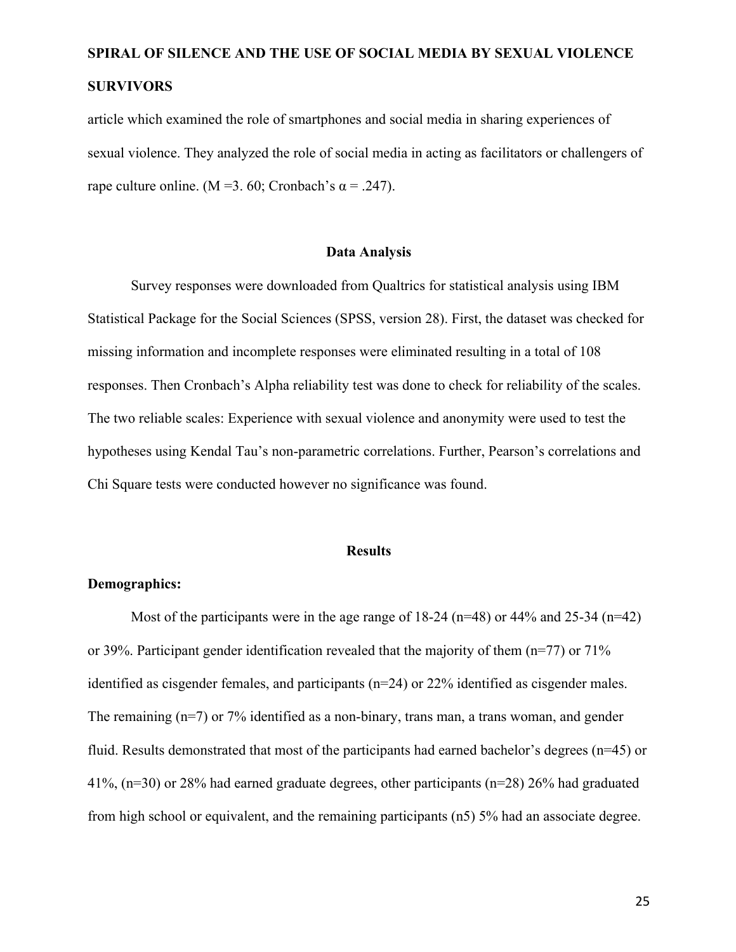article which examined the role of smartphones and social media in sharing experiences of sexual violence. They analyzed the role of social media in acting as facilitators or challengers of rape culture online. (M = 3. 60; Cronbach's  $\alpha$  = .247).

#### **Data Analysis**

Survey responses were downloaded from Qualtrics for statistical analysis using IBM Statistical Package for the Social Sciences (SPSS, version 28). First, the dataset was checked for missing information and incomplete responses were eliminated resulting in a total of 108 responses. Then Cronbach's Alpha reliability test was done to check for reliability of the scales. The two reliable scales: Experience with sexual violence and anonymity were used to test the hypotheses using Kendal Tau's non-parametric correlations. Further, Pearson's correlations and Chi Square tests were conducted however no significance was found.

#### **Results**

### **Demographics:**

Most of the participants were in the age range of  $18-24$  (n=48) or 44% and 25-34 (n=42) or 39%. Participant gender identification revealed that the majority of them  $(n=77)$  or  $71\%$ identified as cisgender females, and participants (n=24) or 22% identified as cisgender males. The remaining (n=7) or 7% identified as a non-binary, trans man, a trans woman, and gender fluid. Results demonstrated that most of the participants had earned bachelor's degrees (n=45) or 41%, (n=30) or 28% had earned graduate degrees, other participants (n=28) 26% had graduated from high school or equivalent, and the remaining participants (n5) 5% had an associate degree.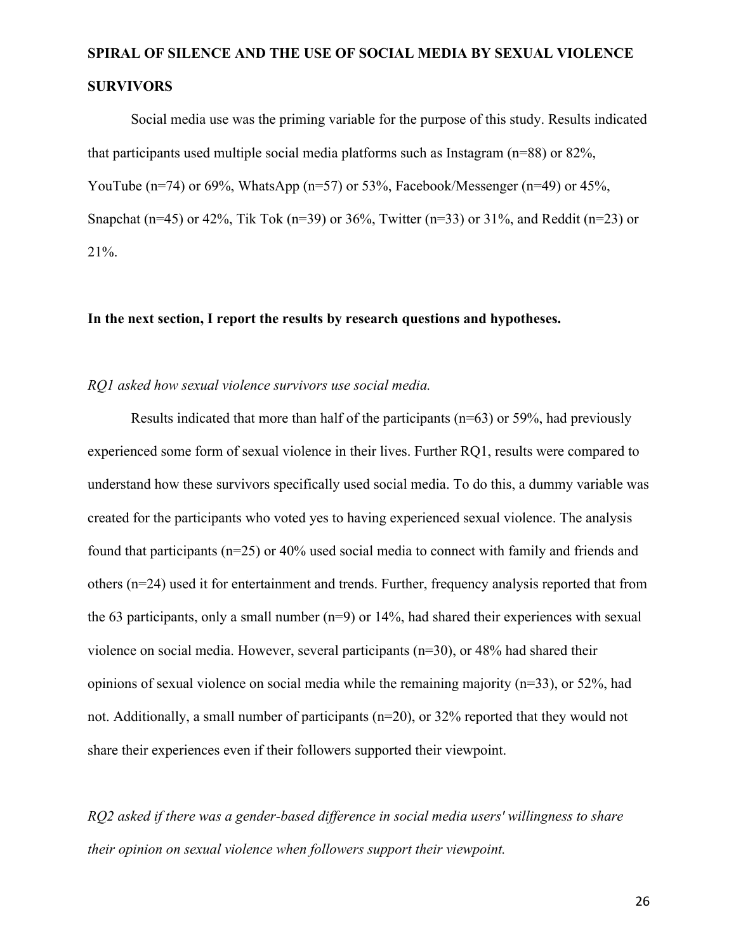Social media use was the priming variable for the purpose of this study. Results indicated that participants used multiple social media platforms such as Instagram (n=88) or 82%, YouTube (n=74) or 69%, WhatsApp (n=57) or 53%, Facebook/Messenger (n=49) or 45%, Snapchat (n=45) or 42%, Tik Tok (n=39) or 36%, Twitter (n=33) or 31%, and Reddit (n=23) or 21%.

### **In the next section, I report the results by research questions and hypotheses.**

### *RQ1 asked how sexual violence survivors use social media.*

Results indicated that more than half of the participants ( $n=63$ ) or 59%, had previously experienced some form of sexual violence in their lives. Further RQ1, results were compared to understand how these survivors specifically used social media. To do this, a dummy variable was created for the participants who voted yes to having experienced sexual violence. The analysis found that participants (n=25) or 40% used social media to connect with family and friends and others (n=24) used it for entertainment and trends. Further, frequency analysis reported that from the 63 participants, only a small number  $(n=9)$  or 14%, had shared their experiences with sexual violence on social media. However, several participants (n=30), or 48% had shared their opinions of sexual violence on social media while the remaining majority (n=33), or 52%, had not. Additionally, a small number of participants (n=20), or 32% reported that they would not share their experiences even if their followers supported their viewpoint.

*RQ2 asked if there was a gender-based difference in social media users' willingness to share their opinion on sexual violence when followers support their viewpoint.*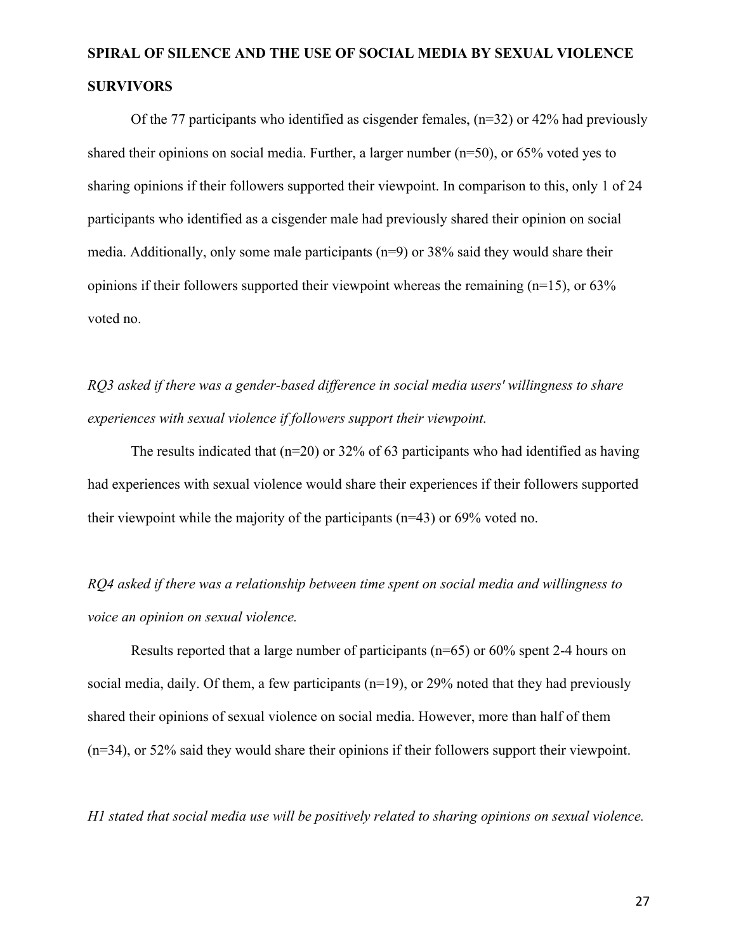Of the 77 participants who identified as cisgender females, (n=32) or 42% had previously shared their opinions on social media. Further, a larger number (n=50), or 65% voted yes to sharing opinions if their followers supported their viewpoint. In comparison to this, only 1 of 24 participants who identified as a cisgender male had previously shared their opinion on social media. Additionally, only some male participants (n=9) or 38% said they would share their opinions if their followers supported their viewpoint whereas the remaining  $(n=15)$ , or 63% voted no.

*RQ3 asked if there was a gender-based difference in social media users' willingness to share experiences with sexual violence if followers support their viewpoint.* 

The results indicated that  $(n=20)$  or 32% of 63 participants who had identified as having had experiences with sexual violence would share their experiences if their followers supported their viewpoint while the majority of the participants (n=43) or 69% voted no.

*RQ4 asked if there was a relationship between time spent on social media and willingness to voice an opinion on sexual violence.* 

Results reported that a large number of participants (n=65) or 60% spent 2-4 hours on social media, daily. Of them, a few participants  $(n=19)$ , or 29% noted that they had previously shared their opinions of sexual violence on social media. However, more than half of them (n=34), or 52% said they would share their opinions if their followers support their viewpoint.

*H1 stated that social media use will be positively related to sharing opinions on sexual violence.*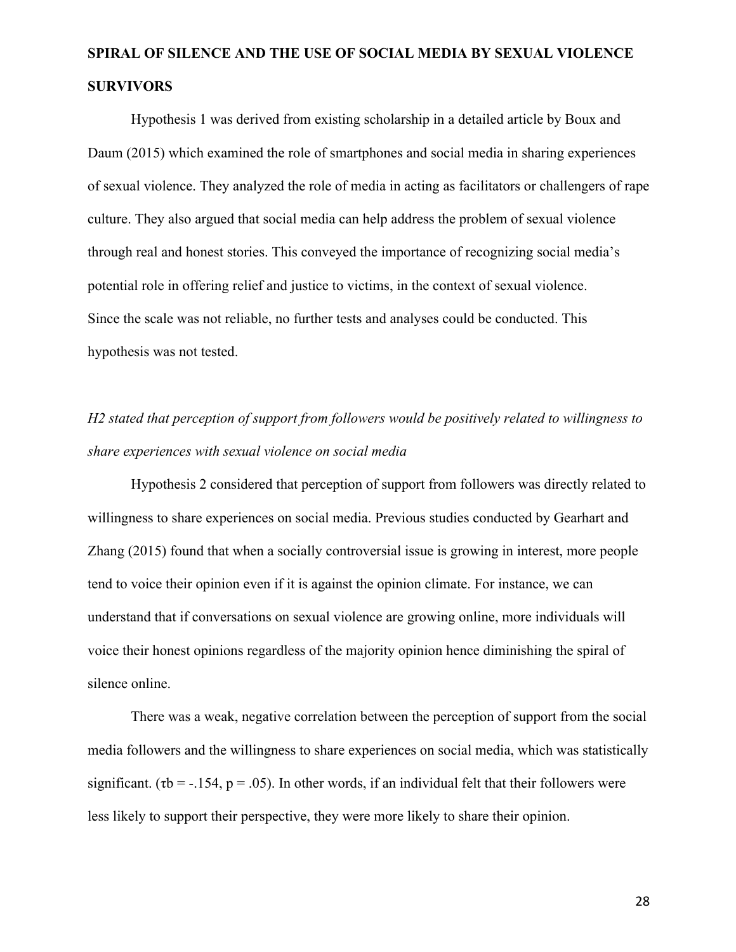Hypothesis 1 was derived from existing scholarship in a detailed article by Boux and Daum (2015) which examined the role of smartphones and social media in sharing experiences of sexual violence. They analyzed the role of media in acting as facilitators or challengers of rape culture. They also argued that social media can help address the problem of sexual violence through real and honest stories. This conveyed the importance of recognizing social media's potential role in offering relief and justice to victims, in the context of sexual violence. Since the scale was not reliable, no further tests and analyses could be conducted. This hypothesis was not tested.

# *H2 stated that perception of support from followers would be positively related to willingness to share experiences with sexual violence on social media*

Hypothesis 2 considered that perception of support from followers was directly related to willingness to share experiences on social media. Previous studies conducted by Gearhart and Zhang (2015) found that when a socially controversial issue is growing in interest, more people tend to voice their opinion even if it is against the opinion climate. For instance, we can understand that if conversations on sexual violence are growing online, more individuals will voice their honest opinions regardless of the majority opinion hence diminishing the spiral of silence online.

There was a weak, negative correlation between the perception of support from the social media followers and the willingness to share experiences on social media, which was statistically significant. ( $\tau b = -154$ ,  $p = .05$ ). In other words, if an individual felt that their followers were less likely to support their perspective, they were more likely to share their opinion.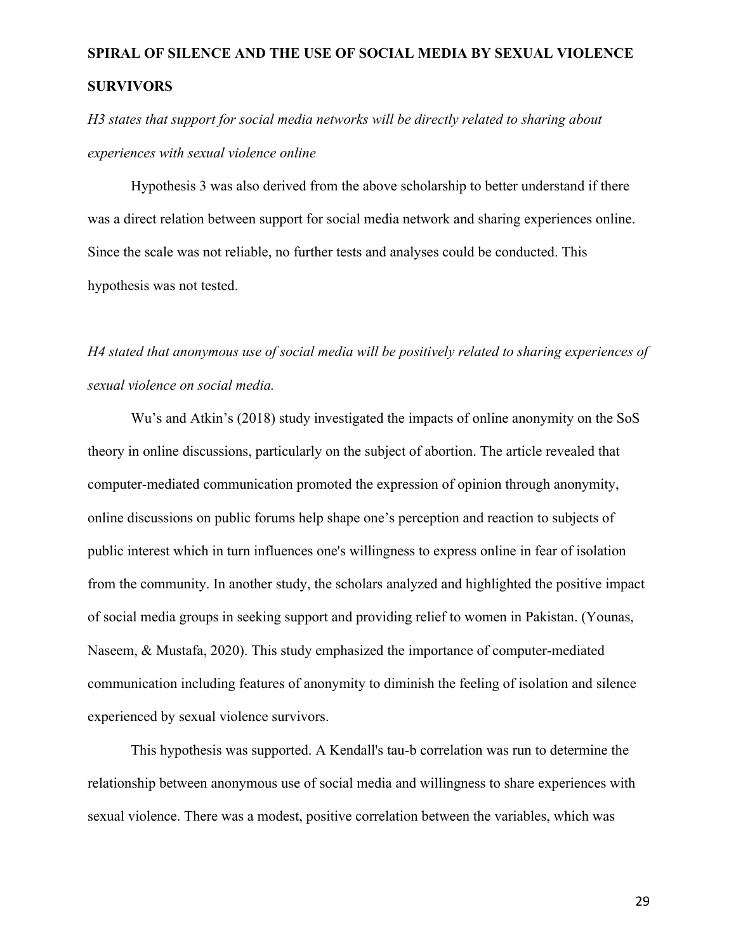*H3 states that support for social media networks will be directly related to sharing about experiences with sexual violence online*

Hypothesis 3 was also derived from the above scholarship to better understand if there was a direct relation between support for social media network and sharing experiences online. Since the scale was not reliable, no further tests and analyses could be conducted. This hypothesis was not tested.

*H4 stated that anonymous use of social media will be positively related to sharing experiences of sexual violence on social media.*

Wu's and Atkin's (2018) study investigated the impacts of online anonymity on the SoS theory in online discussions, particularly on the subject of abortion. The article revealed that computer-mediated communication promoted the expression of opinion through anonymity, online discussions on public forums help shape one's perception and reaction to subjects of public interest which in turn influences one's willingness to express online in fear of isolation from the community. In another study, the scholars analyzed and highlighted the positive impact of social media groups in seeking support and providing relief to women in Pakistan. (Younas, Naseem, & Mustafa, 2020). This study emphasized the importance of computer-mediated communication including features of anonymity to diminish the feeling of isolation and silence experienced by sexual violence survivors.

This hypothesis was supported. A Kendall's tau-b correlation was run to determine the relationship between anonymous use of social media and willingness to share experiences with sexual violence. There was a modest, positive correlation between the variables, which was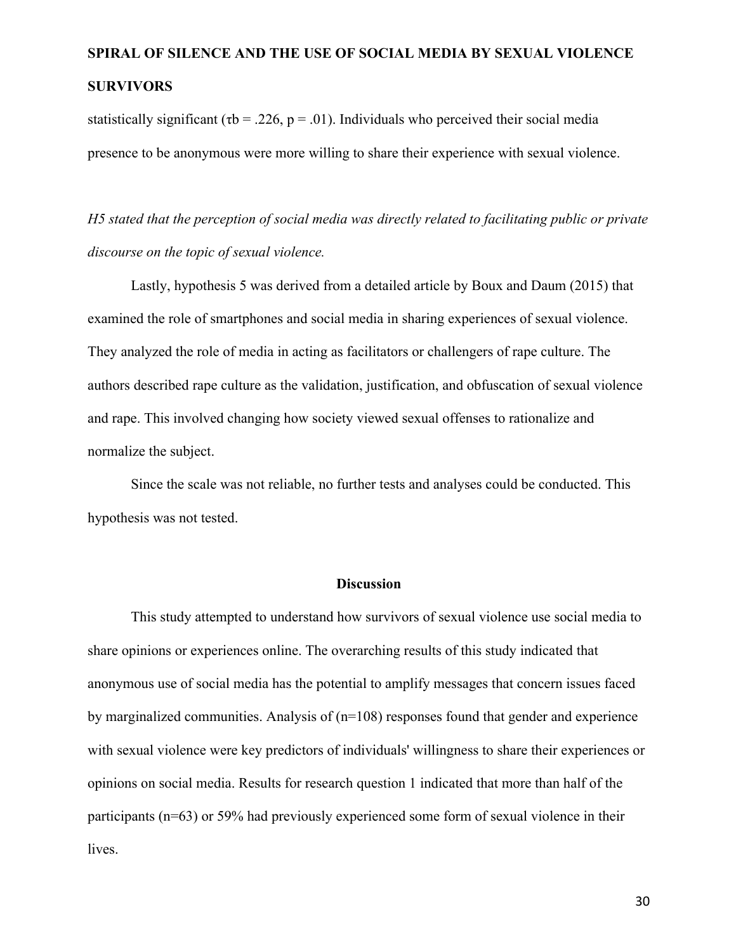statistically significant ( $\tau$ b = .226, p = .01). Individuals who perceived their social media presence to be anonymous were more willing to share their experience with sexual violence.

*H5 stated that the perception of social media was directly related to facilitating public or private discourse on the topic of sexual violence.* 

Lastly, hypothesis 5 was derived from a detailed article by Boux and Daum (2015) that examined the role of smartphones and social media in sharing experiences of sexual violence. They analyzed the role of media in acting as facilitators or challengers of rape culture. The authors described rape culture as the validation, justification, and obfuscation of sexual violence and rape. This involved changing how society viewed sexual offenses to rationalize and normalize the subject.

Since the scale was not reliable, no further tests and analyses could be conducted. This hypothesis was not tested.

#### **Discussion**

This study attempted to understand how survivors of sexual violence use social media to share opinions or experiences online. The overarching results of this study indicated that anonymous use of social media has the potential to amplify messages that concern issues faced by marginalized communities. Analysis of  $(n=108)$  responses found that gender and experience with sexual violence were key predictors of individuals' willingness to share their experiences or opinions on social media. Results for research question 1 indicated that more than half of the participants (n=63) or 59% had previously experienced some form of sexual violence in their lives.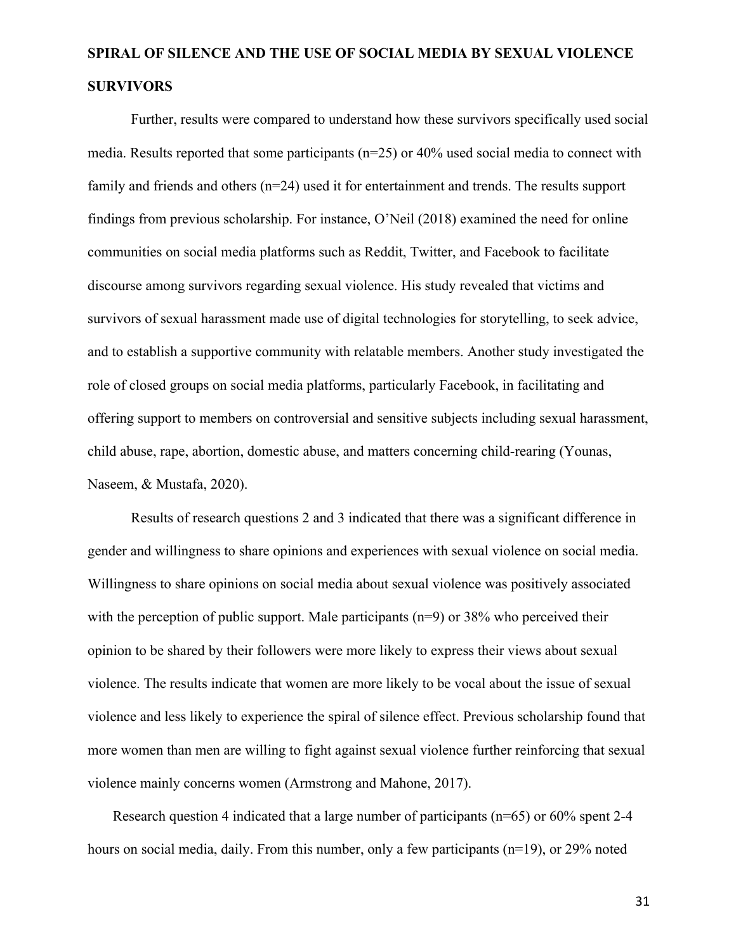Further, results were compared to understand how these survivors specifically used social media. Results reported that some participants (n=25) or 40% used social media to connect with family and friends and others (n=24) used it for entertainment and trends. The results support findings from previous scholarship. For instance, O'Neil (2018) examined the need for online communities on social media platforms such as Reddit, Twitter, and Facebook to facilitate discourse among survivors regarding sexual violence. His study revealed that victims and survivors of sexual harassment made use of digital technologies for storytelling, to seek advice, and to establish a supportive community with relatable members. Another study investigated the role of closed groups on social media platforms, particularly Facebook, in facilitating and offering support to members on controversial and sensitive subjects including sexual harassment, child abuse, rape, abortion, domestic abuse, and matters concerning child-rearing (Younas, Naseem, & Mustafa, 2020).

Results of research questions 2 and 3 indicated that there was a significant difference in gender and willingness to share opinions and experiences with sexual violence on social media. Willingness to share opinions on social media about sexual violence was positively associated with the perception of public support. Male participants  $(n=9)$  or 38% who perceived their opinion to be shared by their followers were more likely to express their views about sexual violence. The results indicate that women are more likely to be vocal about the issue of sexual violence and less likely to experience the spiral of silence effect. Previous scholarship found that more women than men are willing to fight against sexual violence further reinforcing that sexual violence mainly concerns women (Armstrong and Mahone, 2017).

 Research question 4 indicated that a large number of participants (n=65) or 60% spent 2-4 hours on social media, daily. From this number, only a few participants (n=19), or 29% noted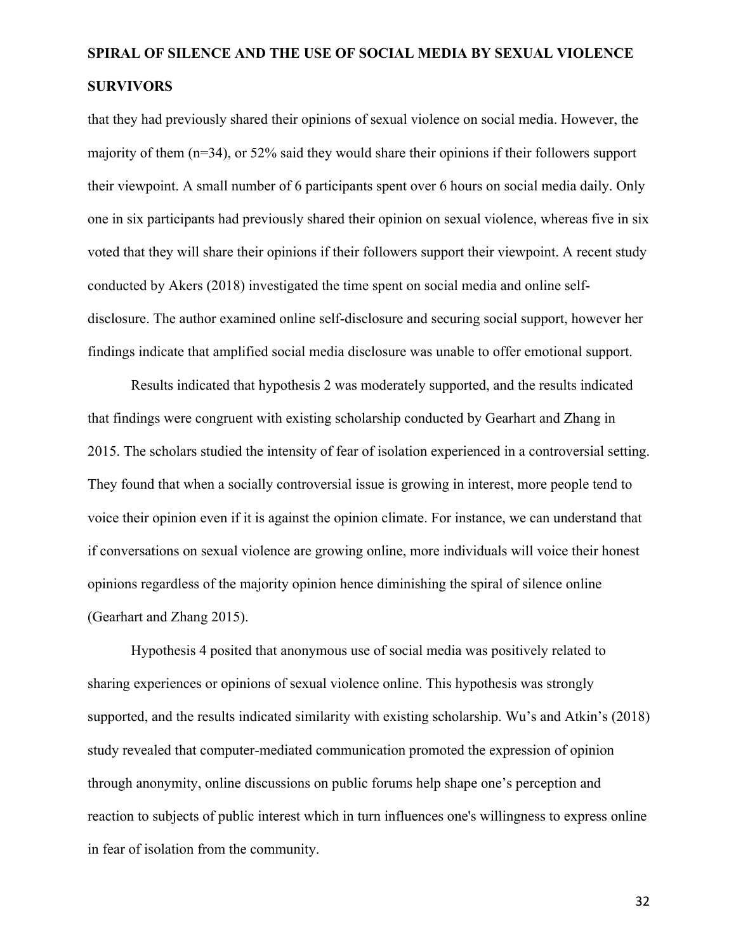that they had previously shared their opinions of sexual violence on social media. However, the majority of them (n=34), or 52% said they would share their opinions if their followers support their viewpoint. A small number of 6 participants spent over 6 hours on social media daily. Only one in six participants had previously shared their opinion on sexual violence, whereas five in six voted that they will share their opinions if their followers support their viewpoint. A recent study conducted by Akers (2018) investigated the time spent on social media and online selfdisclosure. The author examined online self-disclosure and securing social support, however her findings indicate that amplified social media disclosure was unable to offer emotional support.

Results indicated that hypothesis 2 was moderately supported, and the results indicated that findings were congruent with existing scholarship conducted by Gearhart and Zhang in 2015. The scholars studied the intensity of fear of isolation experienced in a controversial setting. They found that when a socially controversial issue is growing in interest, more people tend to voice their opinion even if it is against the opinion climate. For instance, we can understand that if conversations on sexual violence are growing online, more individuals will voice their honest opinions regardless of the majority opinion hence diminishing the spiral of silence online (Gearhart and Zhang 2015).

Hypothesis 4 posited that anonymous use of social media was positively related to sharing experiences or opinions of sexual violence online. This hypothesis was strongly supported, and the results indicated similarity with existing scholarship. Wu's and Atkin's (2018) study revealed that computer-mediated communication promoted the expression of opinion through anonymity, online discussions on public forums help shape one's perception and reaction to subjects of public interest which in turn influences one's willingness to express online in fear of isolation from the community.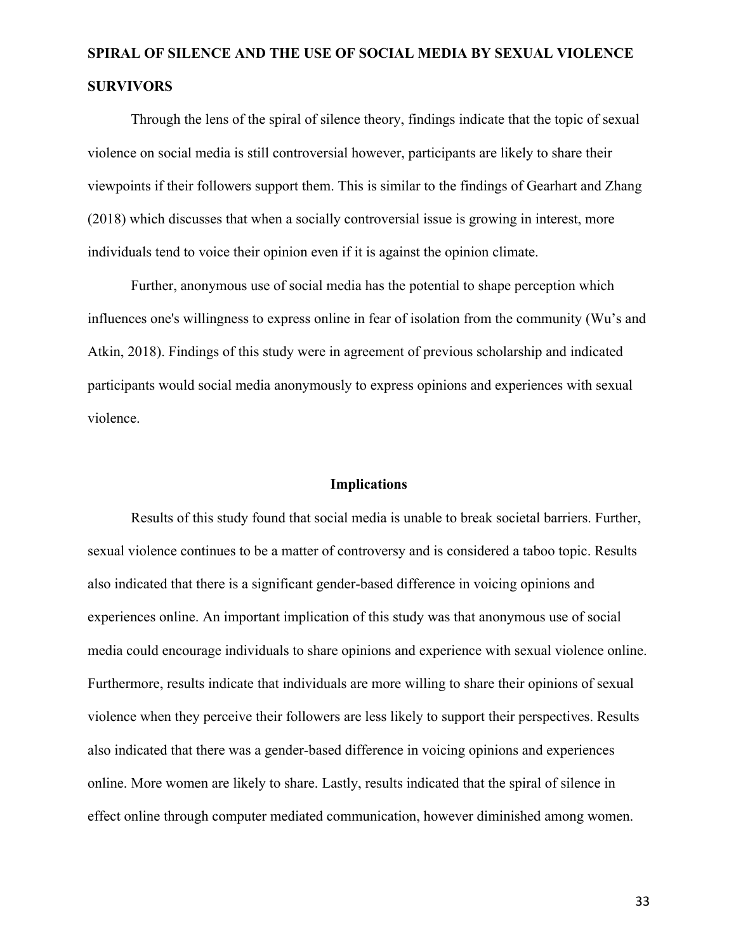Through the lens of the spiral of silence theory, findings indicate that the topic of sexual violence on social media is still controversial however, participants are likely to share their viewpoints if their followers support them. This is similar to the findings of Gearhart and Zhang (2018) which discusses that when a socially controversial issue is growing in interest, more individuals tend to voice their opinion even if it is against the opinion climate.

Further, anonymous use of social media has the potential to shape perception which influences one's willingness to express online in fear of isolation from the community (Wu's and Atkin, 2018). Findings of this study were in agreement of previous scholarship and indicated participants would social media anonymously to express opinions and experiences with sexual violence.

### **Implications**

Results of this study found that social media is unable to break societal barriers. Further, sexual violence continues to be a matter of controversy and is considered a taboo topic. Results also indicated that there is a significant gender-based difference in voicing opinions and experiences online. An important implication of this study was that anonymous use of social media could encourage individuals to share opinions and experience with sexual violence online. Furthermore, results indicate that individuals are more willing to share their opinions of sexual violence when they perceive their followers are less likely to support their perspectives. Results also indicated that there was a gender-based difference in voicing opinions and experiences online. More women are likely to share. Lastly, results indicated that the spiral of silence in effect online through computer mediated communication, however diminished among women.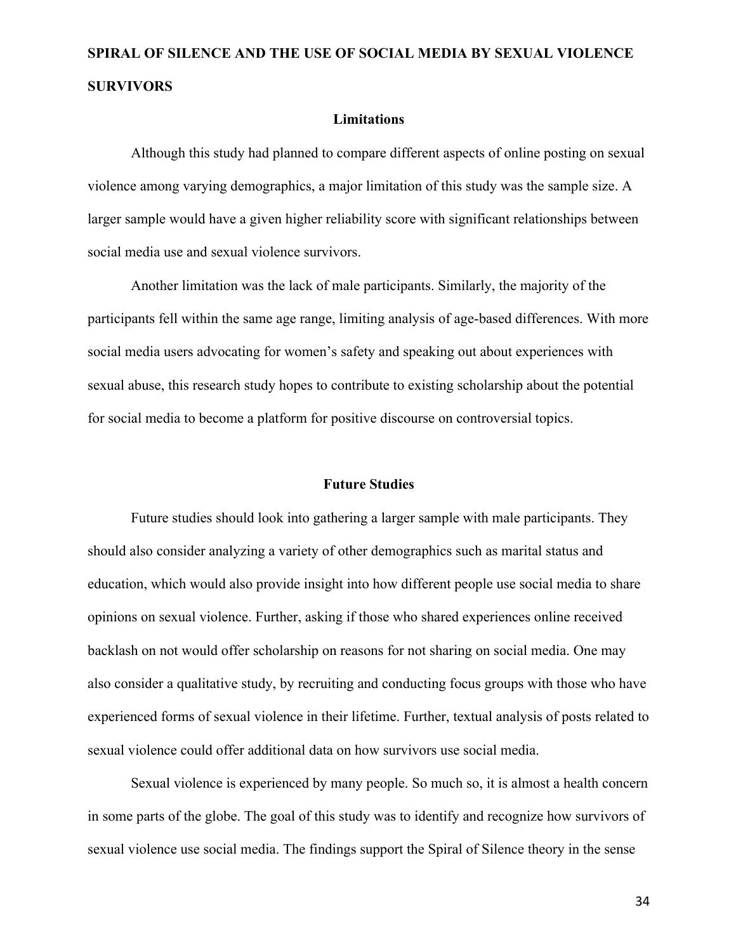#### **Limitations**

Although this study had planned to compare different aspects of online posting on sexual violence among varying demographics, a major limitation of this study was the sample size. A larger sample would have a given higher reliability score with significant relationships between social media use and sexual violence survivors.

Another limitation was the lack of male participants. Similarly, the majority of the participants fell within the same age range, limiting analysis of age-based differences. With more social media users advocating for women's safety and speaking out about experiences with sexual abuse, this research study hopes to contribute to existing scholarship about the potential for social media to become a platform for positive discourse on controversial topics.

#### **Future Studies**

Future studies should look into gathering a larger sample with male participants. They should also consider analyzing a variety of other demographics such as marital status and education, which would also provide insight into how different people use social media to share opinions on sexual violence. Further, asking if those who shared experiences online received backlash on not would offer scholarship on reasons for not sharing on social media. One may also consider a qualitative study, by recruiting and conducting focus groups with those who have experienced forms of sexual violence in their lifetime. Further, textual analysis of posts related to sexual violence could offer additional data on how survivors use social media.

Sexual violence is experienced by many people. So much so, it is almost a health concern in some parts of the globe. The goal of this study was to identify and recognize how survivors of sexual violence use social media. The findings support the Spiral of Silence theory in the sense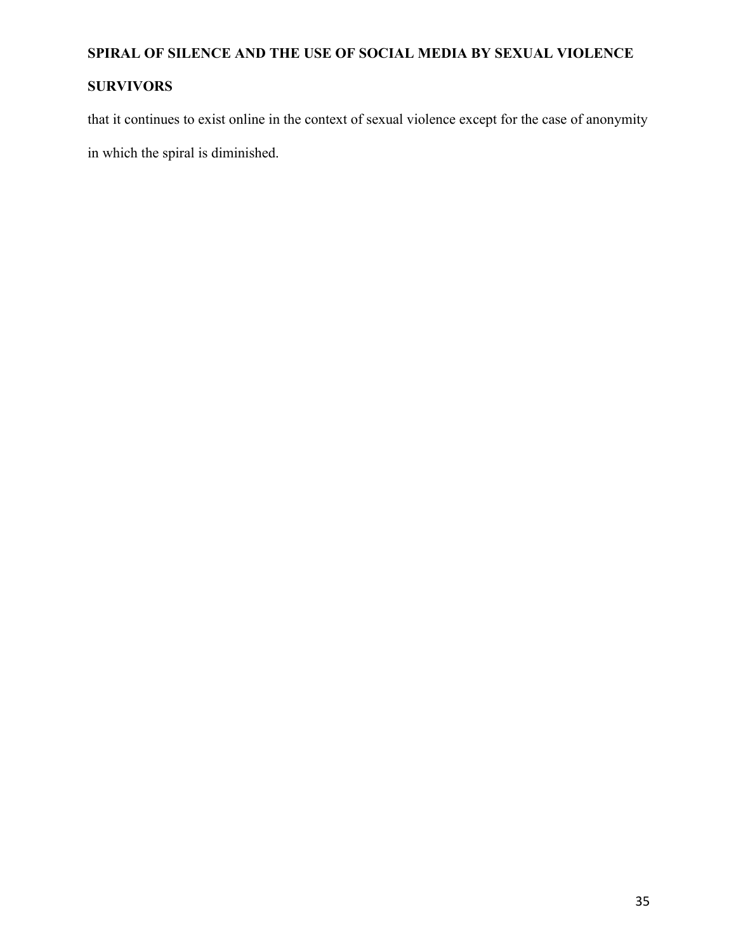## **SURVIVORS**

that it continues to exist online in the context of sexual violence except for the case of anonymity in which the spiral is diminished.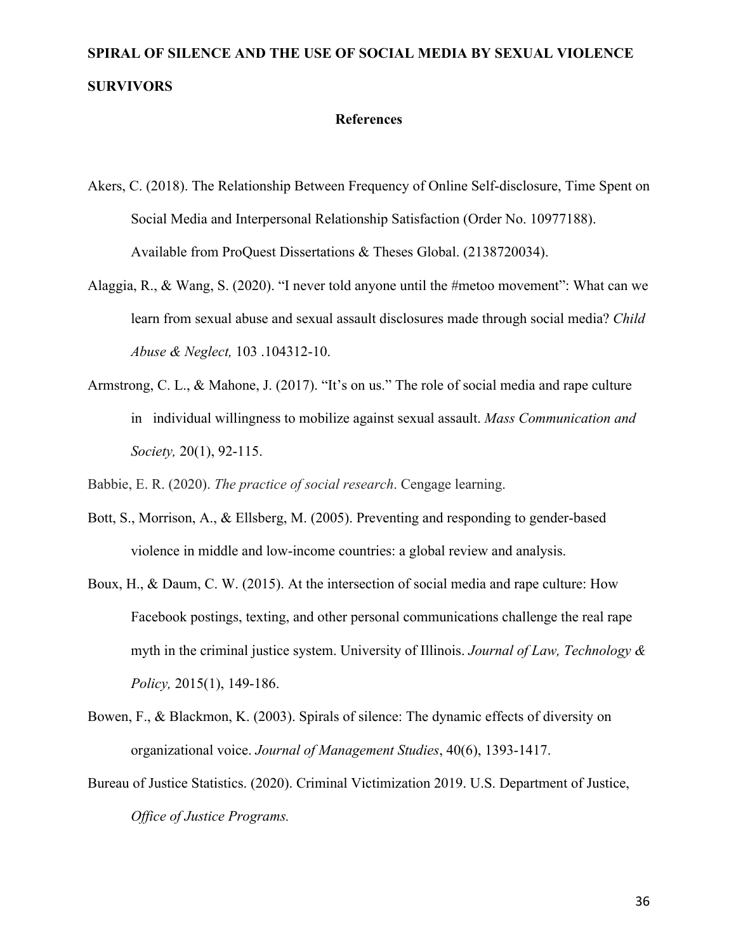### **References**

- Akers, C. (2018). The Relationship Between Frequency of Online Self-disclosure, Time Spent on Social Media and Interpersonal Relationship Satisfaction (Order No. 10977188). Available from ProQuest Dissertations & Theses Global. (2138720034).
- Alaggia, R., & Wang, S. (2020). "I never told anyone until the #metoo movement": What can we learn from sexual abuse and sexual assault disclosures made through social media? *Child Abuse & Neglect,* 103 .104312-10.
- Armstrong, C. L., & Mahone, J. (2017). "It's on us." The role of social media and rape culture in individual willingness to mobilize against sexual assault. *Mass Communication and Society,* 20(1), 92-115.

Babbie, E. R. (2020). *The practice of social research*. Cengage learning.

- Bott, S., Morrison, A., & Ellsberg, M. (2005). Preventing and responding to gender-based violence in middle and low-income countries: a global review and analysis.
- Boux, H., & Daum, C. W. (2015). At the intersection of social media and rape culture: How Facebook postings, texting, and other personal communications challenge the real rape myth in the criminal justice system. University of Illinois. *Journal of Law, Technology & Policy,* 2015(1), 149-186.
- Bowen, F., & Blackmon, K. (2003). Spirals of silence: The dynamic effects of diversity on organizational voice. *Journal of Management Studies*, 40(6), 1393-1417.
- Bureau of Justice Statistics. (2020). Criminal Victimization 2019. U.S. Department of Justice, *Office of Justice Programs.*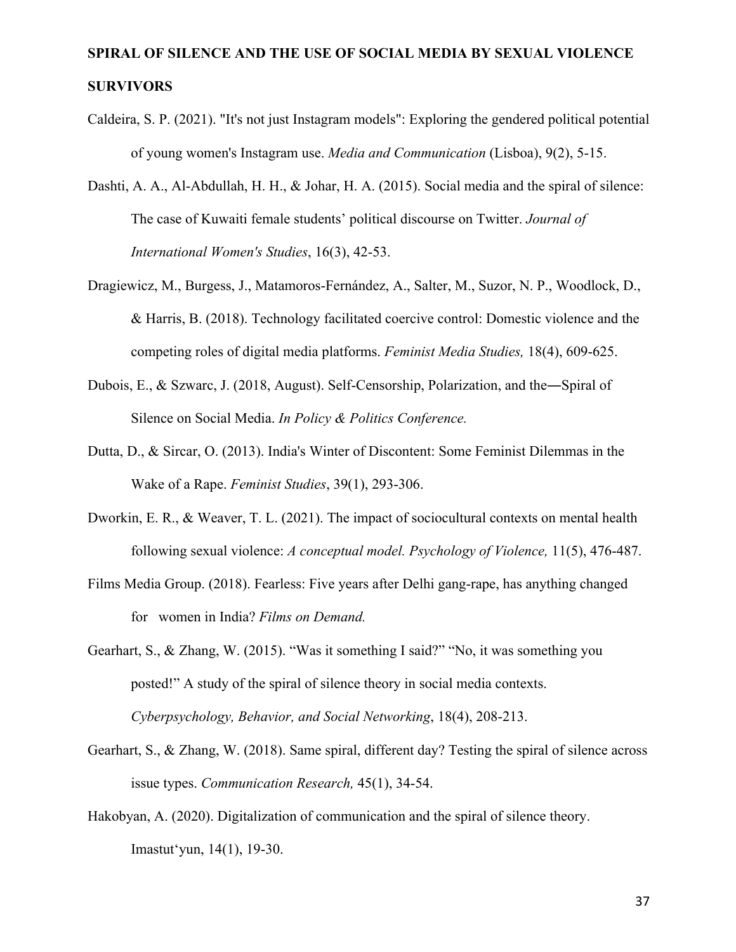- Caldeira, S. P. (2021). "It's not just Instagram models": Exploring the gendered political potential of young women's Instagram use. *Media and Communication* (Lisboa), 9(2), 5-15.
- Dashti, A. A., Al-Abdullah, H. H., & Johar, H. A. (2015). Social media and the spiral of silence: The case of Kuwaiti female students' political discourse on Twitter. *Journal of International Women's Studies*, 16(3), 42-53.
- Dragiewicz, M., Burgess, J., Matamoros-Fernández, A., Salter, M., Suzor, N. P., Woodlock, D., & Harris, B. (2018). Technology facilitated coercive control: Domestic violence and the competing roles of digital media platforms. *Feminist Media Studies,* 18(4), 609-625.
- Dubois, E., & Szwarc, J. (2018, August). Self-Censorship, Polarization, and the―Spiral of Silence on Social Media. *In Policy & Politics Conference.*
- Dutta, D., & Sircar, O. (2013). India's Winter of Discontent: Some Feminist Dilemmas in the Wake of a Rape. *Feminist Studies*, 39(1), 293-306.
- Dworkin, E. R., & Weaver, T. L. (2021). The impact of sociocultural contexts on mental health following sexual violence: *A conceptual model. Psychology of Violence,* 11(5), 476-487.
- Films Media Group. (2018). Fearless: Five years after Delhi gang-rape, has anything changed for women in India? *Films on Demand.*
- Gearhart, S., & Zhang, W. (2015). "Was it something I said?" "No, it was something you posted!" A study of the spiral of silence theory in social media contexts. *Cyberpsychology, Behavior, and Social Networking*, 18(4), 208-213.
- Gearhart, S., & Zhang, W. (2018). Same spiral, different day? Testing the spiral of silence across issue types. *Communication Research,* 45(1), 34-54.
- Hakobyan, A. (2020). Digitalization of communication and the spiral of silence theory. Imastutʻyun, 14(1), 19-30.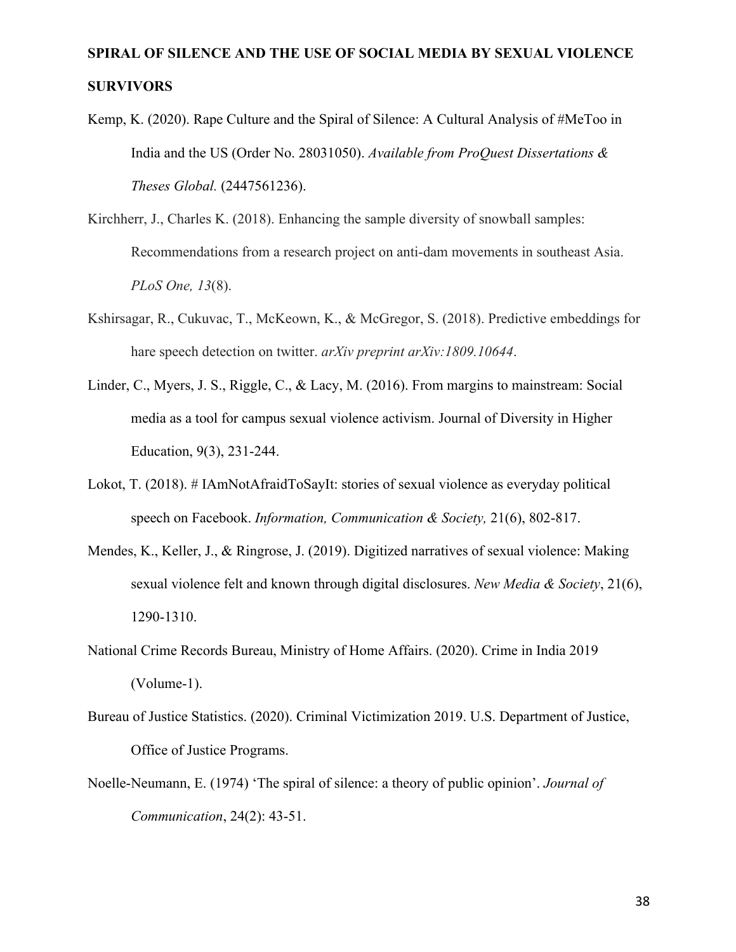- Kemp, K. (2020). Rape Culture and the Spiral of Silence: A Cultural Analysis of #MeToo in India and the US (Order No. 28031050). *Available from ProQuest Dissertations & Theses Global.* (2447561236).
- Kirchherr, J., Charles K. (2018). Enhancing the sample diversity of snowball samples: Recommendations from a research project on anti-dam movements in southeast Asia. *PLoS One, 13*(8).
- Kshirsagar, R., Cukuvac, T., McKeown, K., & McGregor, S. (2018). Predictive embeddings for hare speech detection on twitter. *arXiv preprint arXiv:1809.10644*.
- Linder, C., Myers, J. S., Riggle, C., & Lacy, M. (2016). From margins to mainstream: Social media as a tool for campus sexual violence activism. Journal of Diversity in Higher Education, 9(3), 231-244.
- Lokot, T. (2018). # IAmNotAfraidToSayIt: stories of sexual violence as everyday political speech on Facebook. *Information, Communication & Society,* 21(6), 802-817.
- Mendes, K., Keller, J., & Ringrose, J. (2019). Digitized narratives of sexual violence: Making sexual violence felt and known through digital disclosures. *New Media & Society*, 21(6), 1290-1310.
- National Crime Records Bureau, Ministry of Home Affairs. (2020). Crime in India 2019 (Volume-1).
- Bureau of Justice Statistics. (2020). Criminal Victimization 2019. U.S. Department of Justice, Office of Justice Programs.
- Noelle-Neumann, E. (1974) 'The spiral of silence: a theory of public opinion'. *Journal of Communication*, 24(2): 43-51.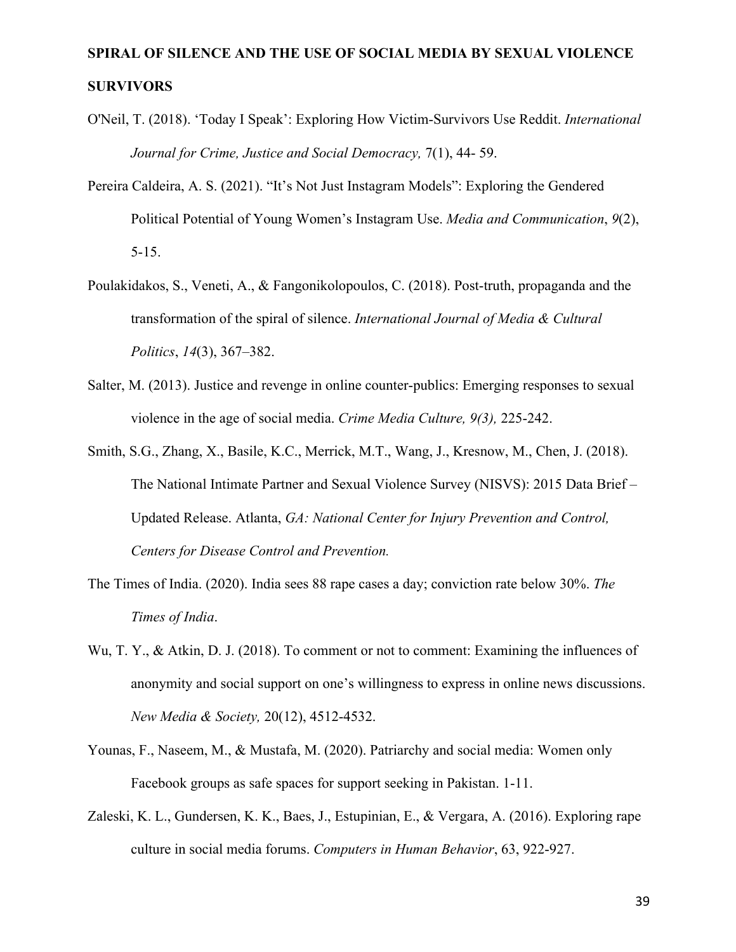- O'Neil, T. (2018). 'Today I Speak': Exploring How Victim-Survivors Use Reddit. *International Journal for Crime, Justice and Social Democracy,* 7(1), 44- 59.
- Pereira Caldeira, A. S. (2021). "It's Not Just Instagram Models": Exploring the Gendered Political Potential of Young Women's Instagram Use. *Media and Communication*, *9*(2), 5-15.
- Poulakidakos, S., Veneti, A., & Fangonikolopoulos, C. (2018). Post-truth, propaganda and the transformation of the spiral of silence. *International Journal of Media & Cultural Politics*, *14*(3), 367–382.
- Salter, M. (2013). Justice and revenge in online counter-publics: Emerging responses to sexual violence in the age of social media. *Crime Media Culture, 9(3),* 225-242.
- Smith, S.G., Zhang, X., Basile, K.C., Merrick, M.T., Wang, J., Kresnow, M., Chen, J. (2018). The National Intimate Partner and Sexual Violence Survey (NISVS): 2015 Data Brief – Updated Release. Atlanta, *GA: National Center for Injury Prevention and Control, Centers for Disease Control and Prevention.*
- The Times of India. (2020). India sees 88 rape cases a day; conviction rate below 30%. *The Times of India*.
- Wu, T. Y., & Atkin, D. J. (2018). To comment or not to comment: Examining the influences of anonymity and social support on one's willingness to express in online news discussions. *New Media & Society,* 20(12), 4512-4532.
- Younas, F., Naseem, M., & Mustafa, M. (2020). Patriarchy and social media: Women only Facebook groups as safe spaces for support seeking in Pakistan. 1-11.
- Zaleski, K. L., Gundersen, K. K., Baes, J., Estupinian, E., & Vergara, A. (2016). Exploring rape culture in social media forums. *Computers in Human Behavior*, 63, 922-927.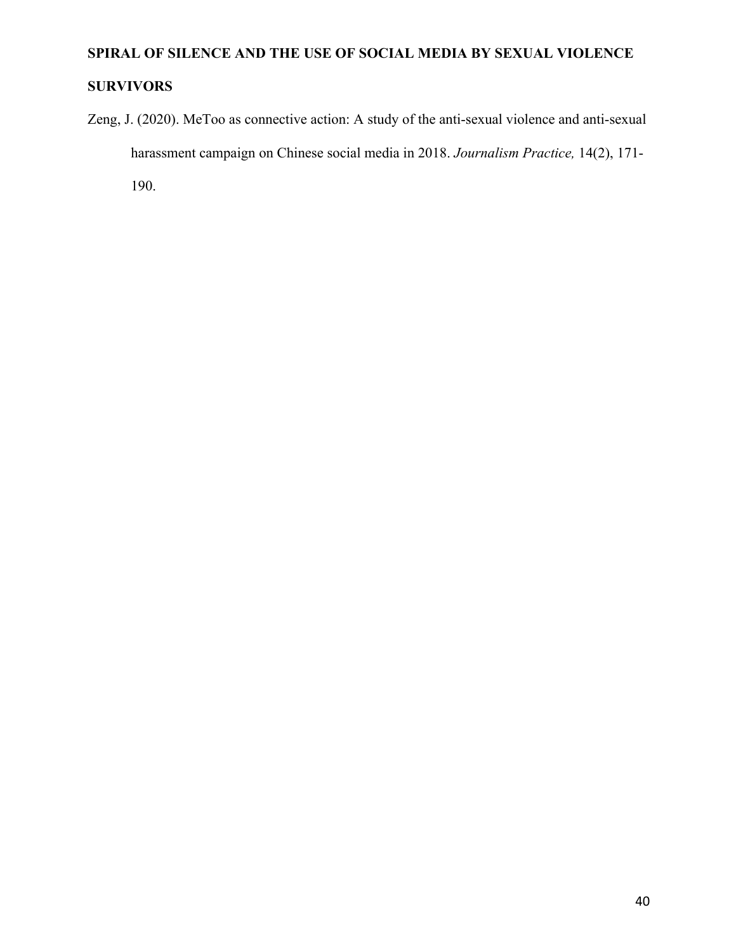### **SURVIVORS**

Zeng, J. (2020). MeToo as connective action: A study of the anti-sexual violence and anti-sexual harassment campaign on Chinese social media in 2018. *Journalism Practice,* 14(2), 171-

190.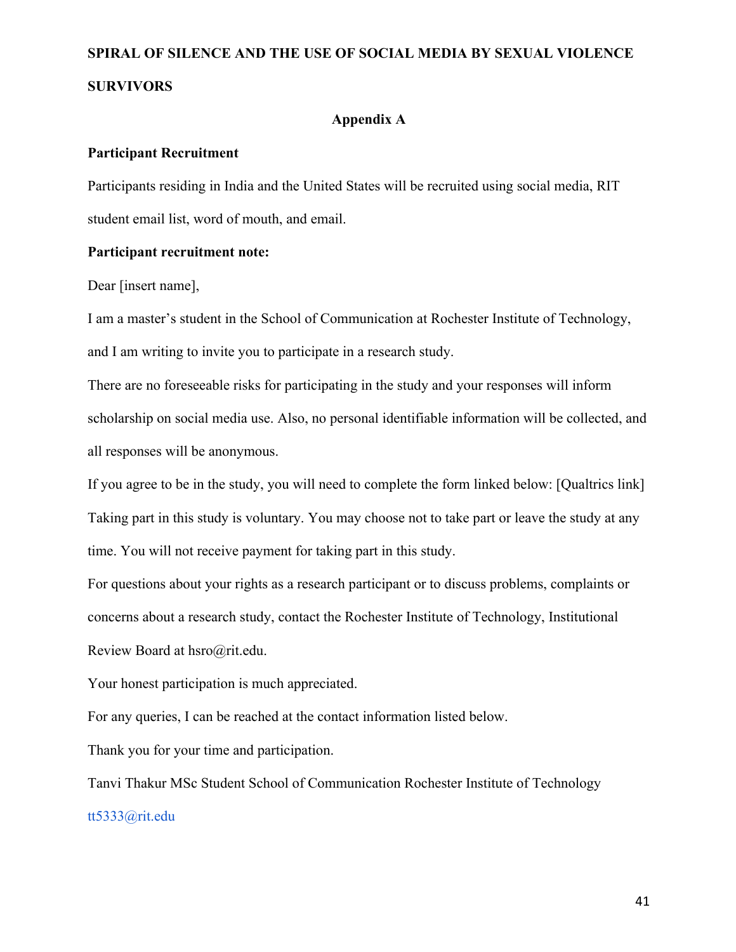### **Appendix A**

### **Participant Recruitment**

Participants residing in India and the United States will be recruited using social media, RIT student email list, word of mouth, and email.

### **Participant recruitment note:**

Dear [insert name],

I am a master's student in the School of Communication at Rochester Institute of Technology, and I am writing to invite you to participate in a research study.

There are no foreseeable risks for participating in the study and your responses will inform scholarship on social media use. Also, no personal identifiable information will be collected, and all responses will be anonymous.

If you agree to be in the study, you will need to complete the form linked below: [Qualtrics link] Taking part in this study is voluntary. You may choose not to take part or leave the study at any time. You will not receive payment for taking part in this study.

For questions about your rights as a research participant or to discuss problems, complaints or concerns about a research study, contact the Rochester Institute of Technology, Institutional Review Board at hsro@rit.edu.

Your honest participation is much appreciated.

For any queries, I can be reached at the contact information listed below.

Thank you for your time and participation.

Tanvi Thakur MSc Student School of Communication Rochester Institute of Technology tt5333@rit.edu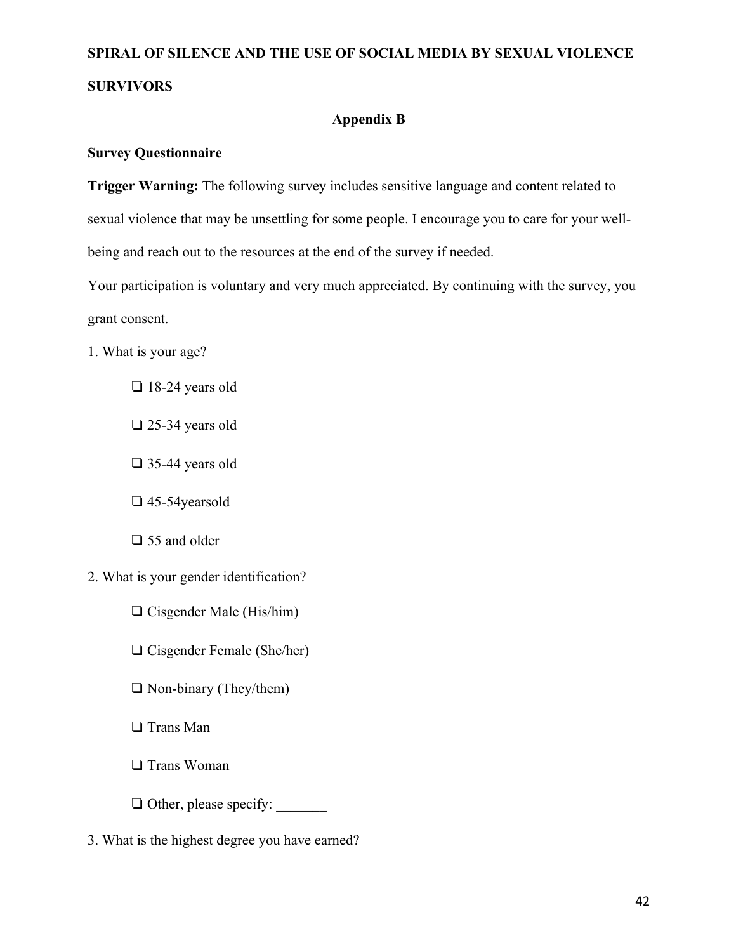### **Appendix B**

### **Survey Questionnaire**

**Trigger Warning:** The following survey includes sensitive language and content related to sexual violence that may be unsettling for some people. I encourage you to care for your wellbeing and reach out to the resources at the end of the survey if needed.

Your participation is voluntary and very much appreciated. By continuing with the survey, you grant consent.

- 1. What is your age?
	- ❏ 18-24 years old
	- ❏ 25-34 years old
	- ❏ 35-44 years old
	- ❏ 45-54yearsold
	- ❏ 55 and older
- 2. What is your gender identification?
	- ❏ Cisgender Male (His/him)
	- ❏ Cisgender Female (She/her)
	- ❏ Non-binary (They/them)
	- ❏ Trans Man
	- ❏ Trans Woman
	- ❏ Other, please specify: \_\_\_\_\_\_\_
- 3. What is the highest degree you have earned?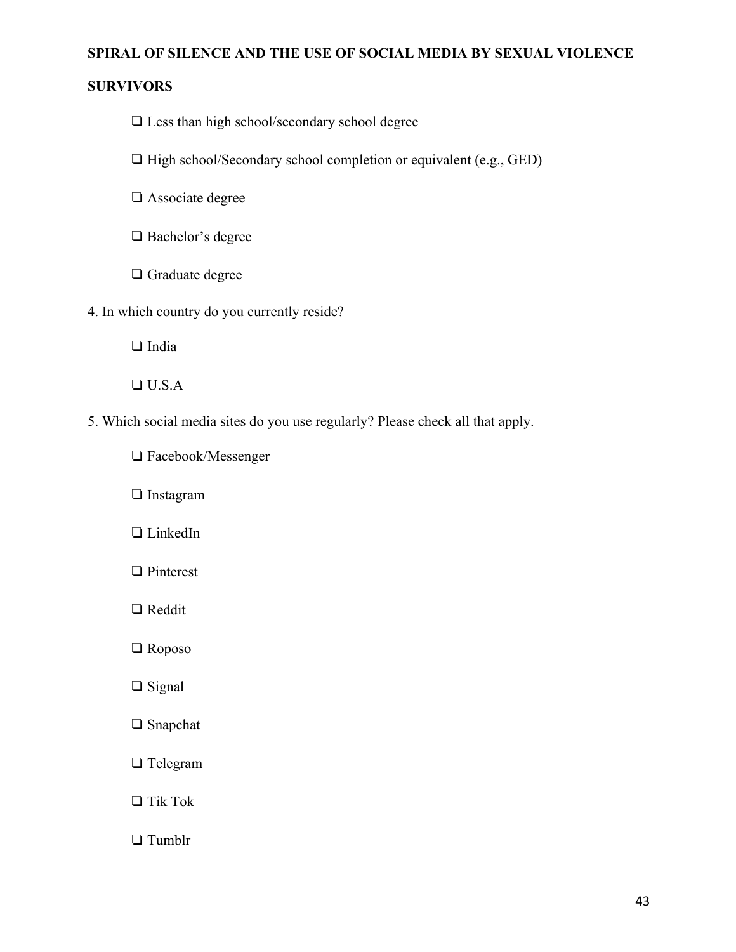### **SURVIVORS**

- ❏ Less than high school/secondary school degree
- ❏ High school/Secondary school completion or equivalent (e.g., GED)
- ❏ Associate degree
- ❏ Bachelor's degree
- ❏ Graduate degree
- 4. In which country do you currently reside?
	- ❏ India
	- ❏ U.S.A
- 5. Which social media sites do you use regularly? Please check all that apply.
	- ❏ Facebook/Messenger
	- ❏ Instagram
	- ❏ LinkedIn
	- ❏ Pinterest
	- ❏ Reddit
	- ❏ Roposo
	- ❏ Signal
	- ❏ Snapchat
	- ❏ Telegram
	- ❏ Tik Tok
	- ❏ Tumblr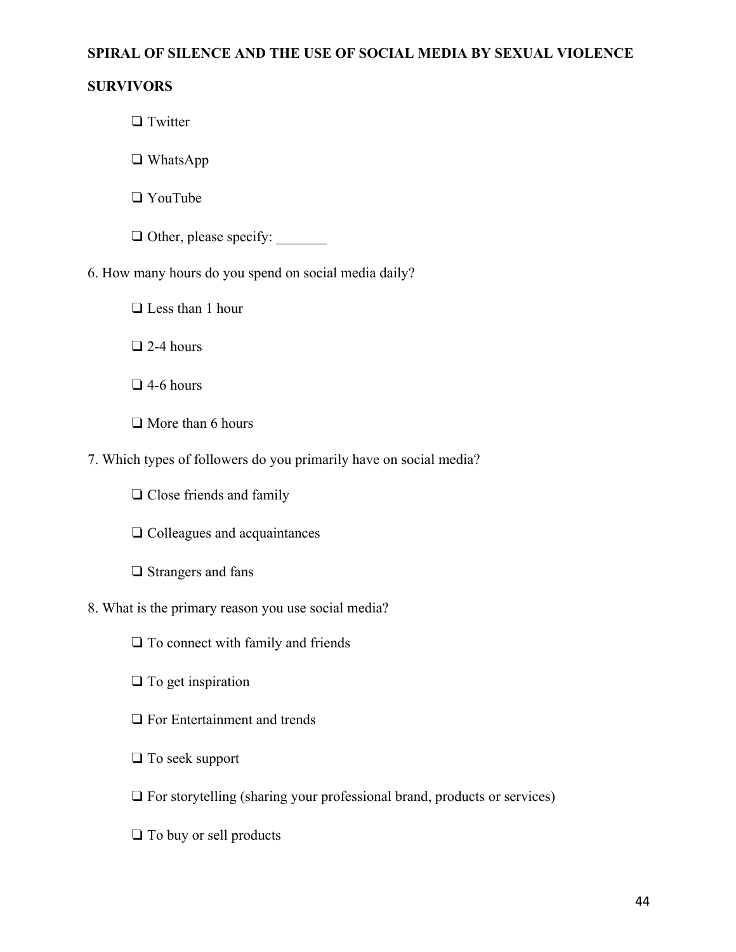### **SURVIVORS**

❏ Twitter

❏ WhatsApp

❏ YouTube

❏ Other, please specify: \_\_\_\_\_\_\_

6. How many hours do you spend on social media daily?

❏ Less than 1 hour

❏ 2-4 hours

❏ 4-6 hours

❏ More than 6 hours

7. Which types of followers do you primarily have on social media?

❏ Close friends and family

❏ Colleagues and acquaintances

❏ Strangers and fans

8. What is the primary reason you use social media?

❏ To connect with family and friends

❏ To get inspiration

❏ For Entertainment and trends

❏ To seek support

❏ For storytelling (sharing your professional brand, products or services)

❏ To buy or sell products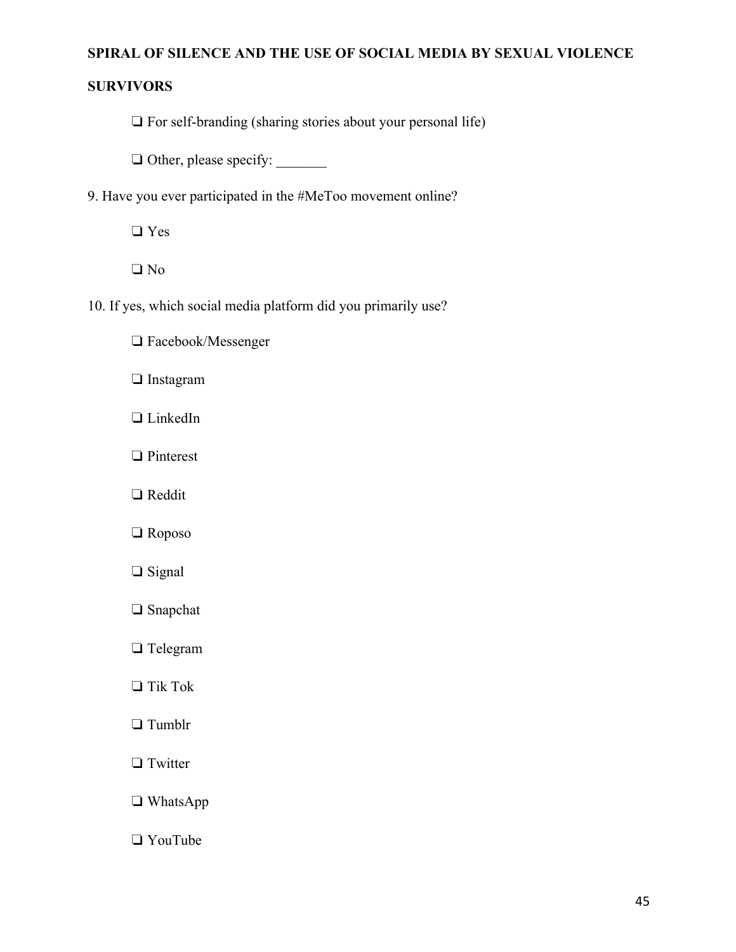### **SURVIVORS**

❏ For self-branding (sharing stories about your personal life)

❏ Other, please specify: \_\_\_\_\_\_\_

9. Have you ever participated in the #MeToo movement online?

❏ Yes

❏ No

- 10. If yes, which social media platform did you primarily use?
	- ❏ Facebook/Messenger
	- ❏ Instagram
	- ❏ LinkedIn
	- ❏ Pinterest
	- ❏ Reddit
	- ❏ Roposo
	- ❏ Signal
	- ❏ Snapchat
	- ❏ Telegram
	- ❏ Tik Tok
	- ❏ Tumblr
	- ❏ Twitter
	- ❏ WhatsApp
	- ❏ YouTube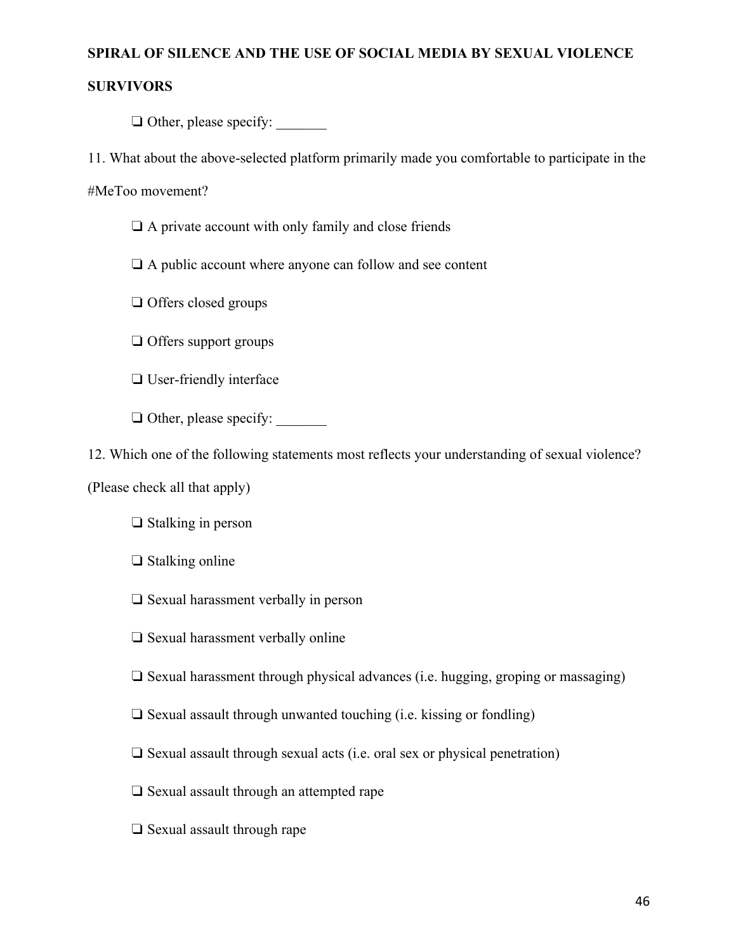### **SURVIVORS**

 $\Box$  Other, please specify:

11. What about the above-selected platform primarily made you comfortable to participate in the

#MeToo movement?

❏ A private account with only family and close friends

❏ A public account where anyone can follow and see content

❏ Offers closed groups

❏ Offers support groups

❏ User-friendly interface

❏ Other, please specify: \_\_\_\_\_\_\_

12. Which one of the following statements most reflects your understanding of sexual violence?

(Please check all that apply)

❏ Stalking in person

❏ Stalking online

❏ Sexual harassment verbally in person

❏ Sexual harassment verbally online

❏ Sexual harassment through physical advances (i.e. hugging, groping or massaging)

❏ Sexual assault through unwanted touching (i.e. kissing or fondling)

❏ Sexual assault through sexual acts (i.e. oral sex or physical penetration)

❏ Sexual assault through an attempted rape

❏ Sexual assault through rape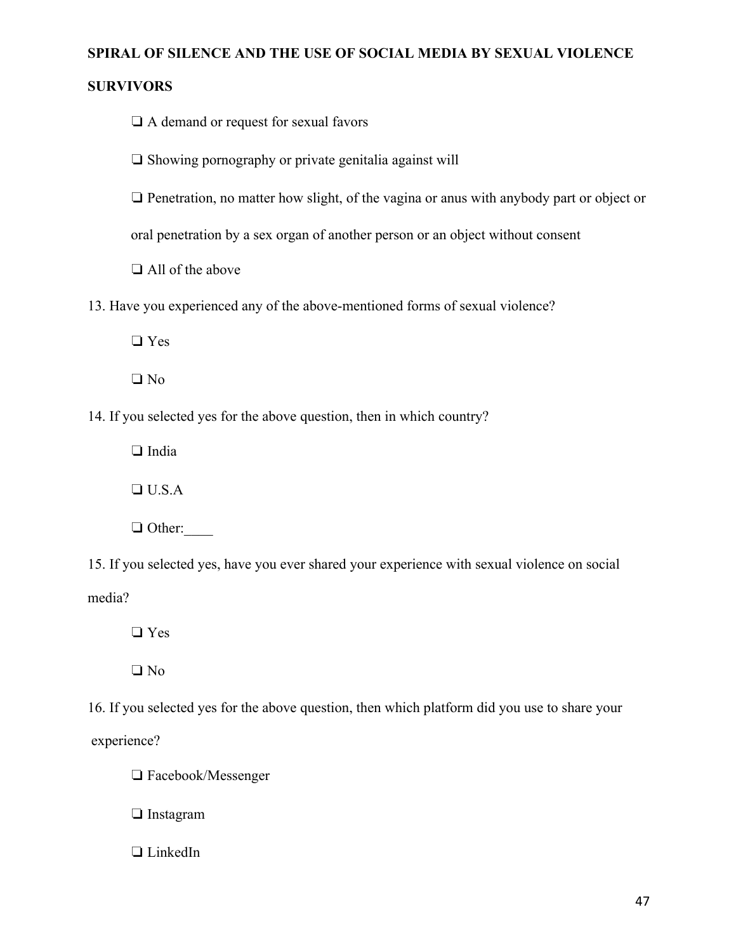### **SURVIVORS**

❏ A demand or request for sexual favors

❏ Showing pornography or private genitalia against will

❏ Penetration, no matter how slight, of the vagina or anus with anybody part or object or

oral penetration by a sex organ of another person or an object without consent

❏ All of the above

13. Have you experienced any of the above-mentioned forms of sexual violence?

❏ Yes

❏ No

14. If you selected yes for the above question, then in which country?

❏ India

❏ U.S.A

❏ Other:\_\_\_\_

15. If you selected yes, have you ever shared your experience with sexual violence on social media?

❏ Yes

❏ No

16. If you selected yes for the above question, then which platform did you use to share your experience?

❏ Facebook/Messenger

❏ Instagram

❏ LinkedIn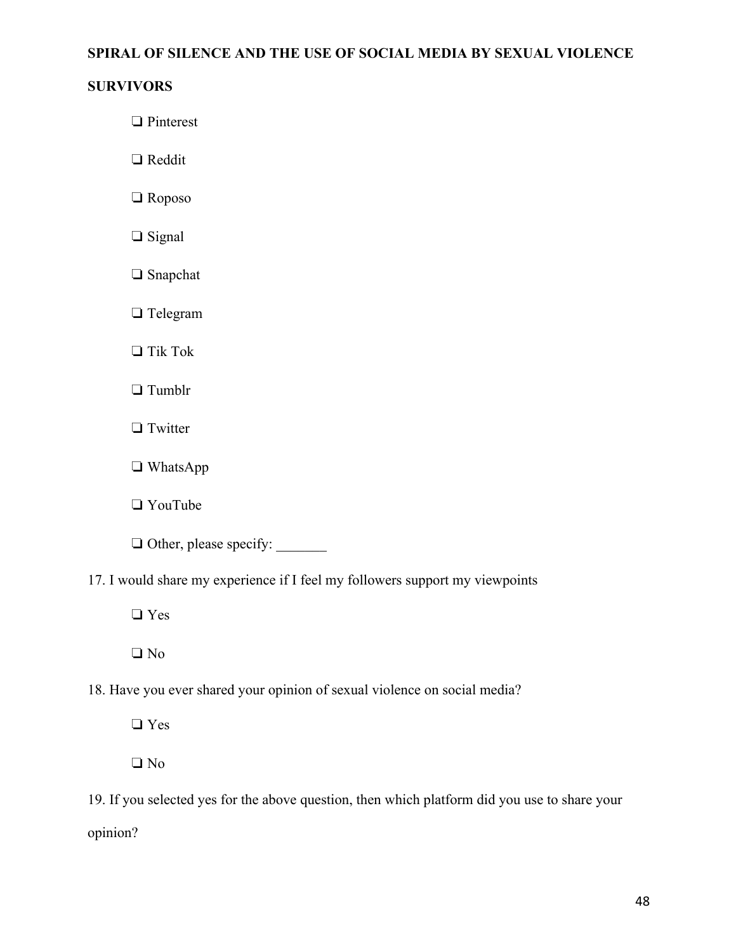### **SURVIVORS**

❏ Pinterest

❏ Reddit

❏ Roposo

- ❏ Signal
- ❏ Snapchat

❏ Telegram

❏ Tik Tok

❏ Tumblr

❏ Twitter

❏ WhatsApp

❏ YouTube

❏ Other, please specify: \_\_\_\_\_\_\_

17. I would share my experience if I feel my followers support my viewpoints

❏ Yes

❏ No

18. Have you ever shared your opinion of sexual violence on social media?

❏ Yes

❏ No

19. If you selected yes for the above question, then which platform did you use to share your opinion?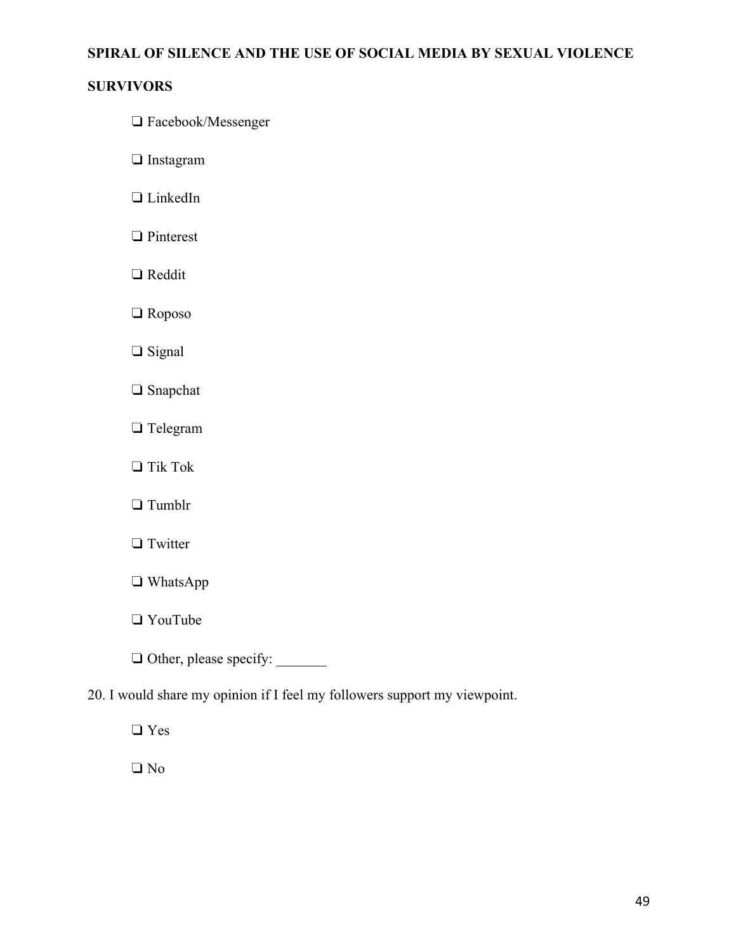### **SURVIVORS**

- ❏ Facebook/Messenger
- ❏ Instagram
- ❏ LinkedIn
- ❏ Pinterest
- ❏ Reddit
- ❏ Roposo
- ❏ Signal
- ❏ Snapchat
- ❏ Telegram
- ❏ Tik Tok
- ❏ Tumblr
- ❏ Twitter
- ❏ WhatsApp
- ❏ YouTube
- ❏ Other, please specify: \_\_\_\_\_\_\_
- 20. I would share my opinion if I feel my followers support my viewpoint.
	- ❏ Yes
	- ❏ No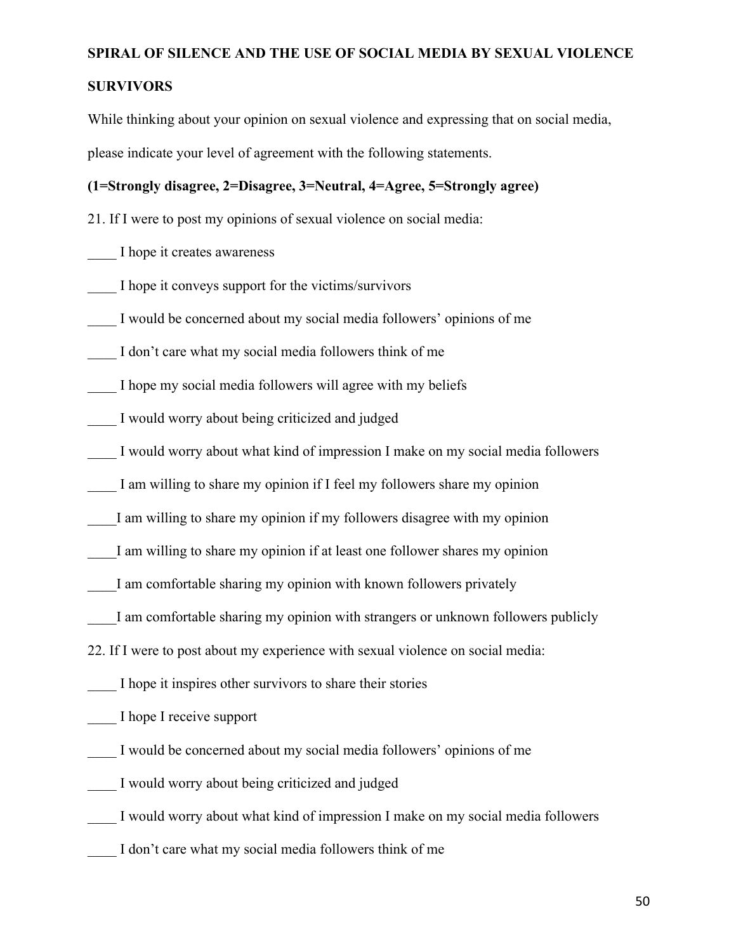### **SURVIVORS**

While thinking about your opinion on sexual violence and expressing that on social media, please indicate your level of agreement with the following statements.

### **(1=Strongly disagree, 2=Disagree, 3=Neutral, 4=Agree, 5=Strongly agree)**

21. If I were to post my opinions of sexual violence on social media:

\_\_\_\_ I hope it creates awareness

I hope it conveys support for the victims/survivors

I would be concerned about my social media followers' opinions of me

I don't care what my social media followers think of me

I hope my social media followers will agree with my beliefs

I would worry about being criticized and judged

I would worry about what kind of impression I make on my social media followers

I am willing to share my opinion if I feel my followers share my opinion

I am willing to share my opinion if my followers disagree with my opinion

I am willing to share my opinion if at least one follower shares my opinion

I am comfortable sharing my opinion with known followers privately

I am comfortable sharing my opinion with strangers or unknown followers publicly

22. If I were to post about my experience with sexual violence on social media:

I hope it inspires other survivors to share their stories

\_\_\_\_ I hope I receive support

I would be concerned about my social media followers' opinions of me

I would worry about being criticized and judged

I would worry about what kind of impression I make on my social media followers

I don't care what my social media followers think of me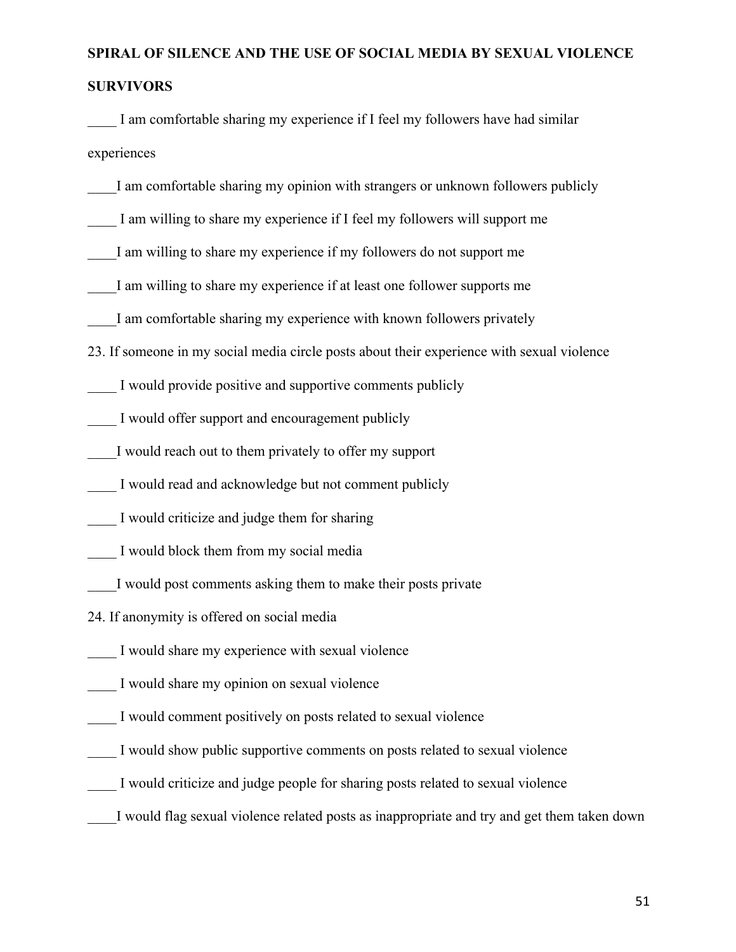\_\_\_\_ I am comfortable sharing my experience if I feel my followers have had similar experiences